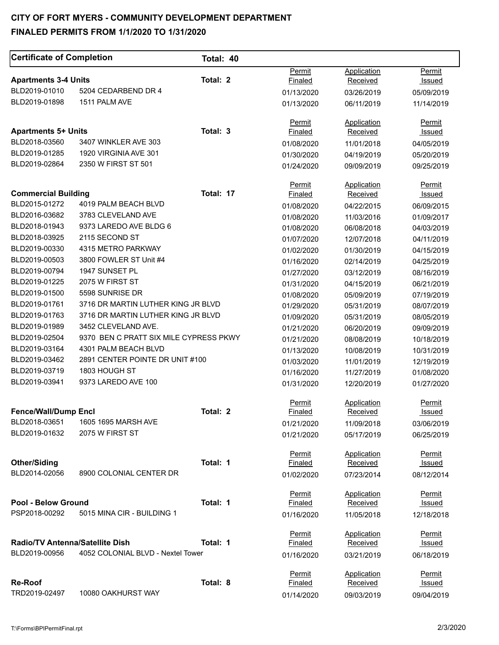#### **Certificate of Completion** Total: 40 Apartments 3-4 Units **Total: 2** Total: 2 BLD2019-01010 5204 CEDARBEND DR 4 BLD2019-01898 1511 PALM AVE Apartments 5+ Units **Total: 3** BLD2018-03560 3407 WINKLER AVE 303 BLD2019-01285 1920 VIRGINIA AVE 301 BLD2019-02864 2350 W FIRST ST 501 **Commercial Building Commercial Building Commercial Building Commercial Commercial Building Commercial Commercial Commercial Commercial Commercial Commercial Commercial Commercial Commercial Commercial Commercial Commercia** BLD2015-01272 4019 PALM BEACH BLVD BLD2016-03682 3783 CLEVELAND AVE BLD2018-01943 9373 LAREDO AVE BLDG 6 BLD2018-03925 2115 SECOND ST BLD2019-00330 4315 METRO PARKWAY BLD2019-00503 3800 FOWLER ST Unit #4 BLD2019-00794 1947 SUNSET PL BLD2019-01225 2075 W FIRST ST BLD2019-01500 5598 SUNRISE DR BLD2019-01761 3716 DR MARTIN LUTHER KING JR BLVD BLD2019-01763 3716 DR MARTIN LUTHER KING JR BLVD BLD2019-01989 3452 CLEVELAND AVE. BLD2019-02504 9370 BEN C PRATT SIX MILE CYPRESS PKWY BLD2019-03164 4301 PALM BEACH BLVD BLD2019-03462 2891 CENTER POINTE DR UNIT #100 BLD2019-03719 BLD2019-03941 1803 HOUGH ST 9373 LAREDO AVE 100 **Fence/Wall/Dump Encl**  BLD2018-03651 BLD2019-01632 1605 1695 MARSH AVE 2075 W FIRST ST **Total: 2 Other/Siding**  BLD2014-02056 8900 COLONIAL CENTER DR **Total: 1 Pool - Below Ground**  PSP2018-00292 5015 MINA CIR - BUILDING 1 **Total: 1 Radio/TV Antenna/Satellite Dish Total: 1** BLD2019-00956 4052 COLONIAL BLVD - Nextel Tower **Re-Roof Total: 8**  TRD2019-02497 10080 OAKHURST WAY Permit Finaled 01/13/2020 01/13/2020 Permit Finaled 01/08/2020 01/30/2020 01/24/2020 **Permit** Finaled 01/08/2020 01/08/2020 01/08/2020 01/07/2020 01/02/2020 01/16/2020 01/27/2020 01/31/2020 01/08/2020 01/29/2020 01/09/2020 01/21/2020 01/21/2020 01/13/2020 01/03/2020 01/16/2020 01/31/2020 Permit Finaled 01/21/2020 01/21/2020 Permit Finaled 01/02/2020 **Permit** Finaled 01/16/2020 Permit **Finaled** 01/16/2020 Permit Finaled 01/14/2020 Application **Received** 03/26/2019 06/11/2019 Application Received 11/01/2018 04/19/2019 09/09/2019 **Application** Received 04/22/2015 11/03/2016 06/08/2018 12/07/2018 01/30/2019 02/14/2019 03/12/2019 04/15/2019 05/09/2019 05/31/2019 05/31/2019 06/20/2019 08/08/2019 10/08/2019 11/01/2019 11/27/2019 12/20/2019 Application **Received** 11/09/2018 05/17/2019 Application Received 07/23/2014 **Application** Received 11/05/2018 Application Received 03/21/2019 Application Received 09/03/2019 Permit **Issued** 05/09/2019 11/14/2019 Permit Issued 04/05/2019 05/20/2019 09/25/2019 **Permit**  Issued 06/09/2015 01/09/2017 04/03/2019 04/11/2019 04/15/2019 04/25/2019 08/16/2019 06/21/2019 07/19/2019 08/07/2019 08/05/2019 09/09/2019 10/18/2019 10/31/2019 12/19/2019 01/08/2020 01/27/2020 Permit **Issued** 03/06/2019 06/25/2019 Permit Issued 08/12/2014 **Permit**  Issued 12/18/2018 Permit Issued 06/18/2019 Permit Issued 09/04/2019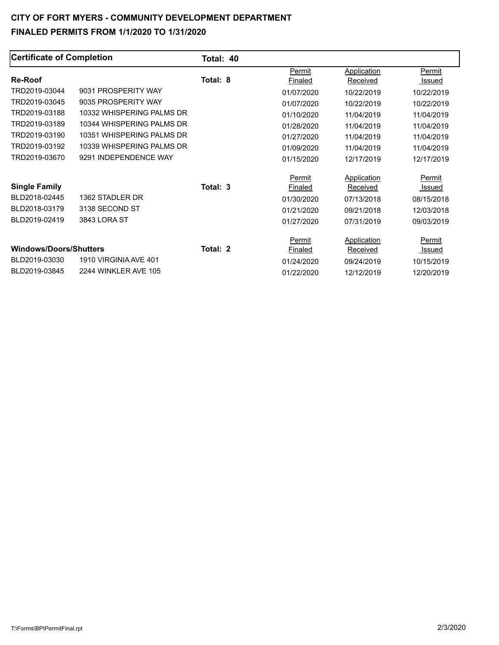| <b>Certificate of Completion</b> |                            | Total: 40 |                |                    |            |
|----------------------------------|----------------------------|-----------|----------------|--------------------|------------|
|                                  |                            |           | Permit         | Application        | Permit     |
| <b>Re-Roof</b>                   |                            | Total: 8  | Finaled        | Received           | Issued     |
| TRD2019-03044                    | 9031 PROSPERITY WAY        |           | 01/07/2020     | 10/22/2019         | 10/22/2019 |
| TRD2019-03045                    | 9035 PROSPERITY WAY        |           | 01/07/2020     | 10/22/2019         | 10/22/2019 |
| TRD2019-03188                    | 10332 WHISPERING PALMS DR  |           | 01/10/2020     | 11/04/2019         | 11/04/2019 |
| TRD2019-03189                    | 10344 WHISPERING PALMS DR  |           | 01/28/2020     | 11/04/2019         | 11/04/2019 |
| TRD2019-03190                    | 10351 WHISPFRING PAI MS DR |           | 01/27/2020     | 11/04/2019         | 11/04/2019 |
| TRD2019-03192                    | 10339 WHISPERING PALMS DR  |           | 01/09/2020     | 11/04/2019         | 11/04/2019 |
| TRD2019-03670                    | 9291 INDEPENDENCE WAY      |           | 01/15/2020     | 12/17/2019         | 12/17/2019 |
|                                  |                            |           | Permit         | <b>Application</b> | Permit     |
| <b>Single Family</b>             |                            | Total: 3  | Finaled        | Received           | Issued     |
| BLD2018-02445                    | 1362 STADLER DR            |           | 01/30/2020     | 07/13/2018         | 08/15/2018 |
| BLD2018-03179                    | 3138 SECOND ST             |           | 01/21/2020     | 09/21/2018         | 12/03/2018 |
| BLD2019-02419                    | 3843 LORA ST               |           | 01/27/2020     | 07/31/2019         | 09/03/2019 |
|                                  |                            |           | Permit         | Application        | Permit     |
| <b>Windows/Doors/Shutters</b>    |                            | Total: 2  | <u>Finaled</u> | Received           | Issued     |
| BLD2019-03030                    | 1910 VIRGINIA AVE 401      |           | 01/24/2020     | 09/24/2019         | 10/15/2019 |
| BLD2019-03845                    | 2244 WINKLER AVE 105       |           | 01/22/2020     | 12/12/2019         | 12/20/2019 |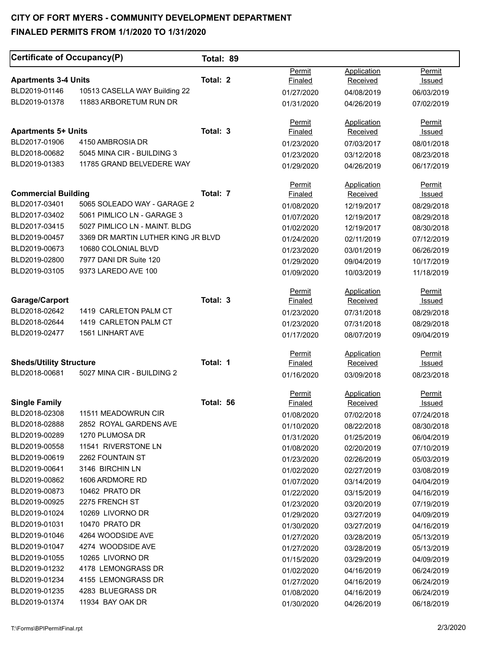| Certificate of Occupancy(P)                 |                                                             | Total: 89 |                          |                          |                          |
|---------------------------------------------|-------------------------------------------------------------|-----------|--------------------------|--------------------------|--------------------------|
| <b>Apartments 3-4 Units</b>                 |                                                             | Total: 2  | Permit                   | Application              | Permit                   |
| BLD2019-01146                               | 10513 CASELLA WAY Building 22                               |           | Finaled                  | Received                 | <b>Issued</b>            |
| BLD2019-01378                               | 11883 ARBORETUM RUN DR                                      |           | 01/27/2020<br>01/31/2020 | 04/08/2019<br>04/26/2019 | 06/03/2019<br>07/02/2019 |
|                                             |                                                             |           |                          |                          |                          |
|                                             |                                                             |           | Permit                   | Application              | Permit                   |
| <b>Apartments 5+ Units</b><br>BLD2017-01906 | 4150 AMBROSIA DR                                            | Total: 3  | Finaled                  | Received                 | Issued                   |
| BLD2018-00682                               | 5045 MINA CIR - BUILDING 3                                  |           | 01/23/2020               | 07/03/2017               | 08/01/2018               |
| BLD2019-01383                               | 11785 GRAND BELVEDERE WAY                                   |           | 01/23/2020               | 03/12/2018               | 08/23/2018               |
|                                             |                                                             |           | 01/29/2020               | 04/26/2019               | 06/17/2019               |
|                                             |                                                             |           | Permit                   | <b>Application</b>       | Permit                   |
| <b>Commercial Building</b><br>BLD2017-03401 | 5065 SOLEADO WAY - GARAGE 2                                 | Total: 7  | Finaled                  | Received                 | <u>Issued</u>            |
|                                             |                                                             |           | 01/08/2020               | 12/19/2017               | 08/29/2018               |
| BLD2017-03402<br>BLD2017-03415              | 5061 PIMLICO LN - GARAGE 3<br>5027 PIMLICO LN - MAINT. BLDG |           | 01/07/2020               | 12/19/2017               | 08/29/2018               |
| BLD2019-00457                               | 3369 DR MARTIN LUTHER KING JR BLVD                          |           | 01/02/2020               | 12/19/2017               | 08/30/2018               |
|                                             | 10680 COLONIAL BLVD                                         |           | 01/24/2020               | 02/11/2019               | 07/12/2019               |
| BLD2019-00673<br>BLD2019-02800              | 7977 DANI DR Suite 120                                      |           | 01/23/2020               | 03/01/2019               | 06/26/2019               |
|                                             |                                                             |           | 01/29/2020               | 09/04/2019               | 10/17/2019               |
| BLD2019-03105                               | 9373 LAREDO AVE 100                                         |           | 01/09/2020               | 10/03/2019               | 11/18/2019               |
|                                             |                                                             |           | Permit                   | <b>Application</b>       | Permit                   |
| Garage/Carport                              |                                                             | Total: 3  | Finaled                  | Received                 | <u>Issued</u>            |
| BLD2018-02642                               | 1419 CARLETON PALM CT                                       |           | 01/23/2020               | 07/31/2018               | 08/29/2018               |
| BLD2018-02644                               | 1419 CARLETON PALM CT                                       |           | 01/23/2020               | 07/31/2018               | 08/29/2018               |
| BLD2019-02477                               | 1561 LINHART AVE                                            |           | 01/17/2020               | 08/07/2019               | 09/04/2019               |
|                                             |                                                             |           | Permit                   | Application              | Permit                   |
| <b>Sheds/Utility Structure</b>              |                                                             | Total: 1  | Finaled                  | Received                 | Issued                   |
| BLD2018-00681                               | 5027 MINA CIR - BUILDING 2                                  |           | 01/16/2020               | 03/09/2018               | 08/23/2018               |
|                                             |                                                             |           | <b>Permit</b>            | Application              | <b>Permit</b>            |
| <b>Single Family</b>                        |                                                             | Total: 56 | Finaled                  | Received                 | Issued                   |
| BLD2018-02308                               | 11511 MEADOWRUN CIR                                         |           | 01/08/2020               | 07/02/2018               | 07/24/2018               |
| BLD2018-02888                               | 2852 ROYAL GARDENS AVE                                      |           | 01/10/2020               | 08/22/2018               | 08/30/2018               |
| BLD2019-00289                               | 1270 PLUMOSA DR                                             |           | 01/31/2020               | 01/25/2019               | 06/04/2019               |
| BLD2019-00558<br>BLD2019-00619              | 11541 RIVERSTONE LN<br>2262 FOUNTAIN ST                     |           | 01/08/2020               | 02/20/2019               | 07/10/2019               |
| BLD2019-00641                               | 3146 BIRCHIN LN                                             |           | 01/23/2020               | 02/26/2019               | 05/03/2019               |
| BLD2019-00862                               | 1606 ARDMORE RD                                             |           | 01/02/2020               | 02/27/2019               | 03/08/2019               |
| BLD2019-00873                               | 10462 PRATO DR                                              |           | 01/07/2020               | 03/14/2019               | 04/04/2019               |
| BLD2019-00925                               | 2275 FRENCH ST                                              |           | 01/22/2020               | 03/15/2019               | 04/16/2019               |
| BLD2019-01024                               | 10269 LIVORNO DR                                            |           | 01/23/2020               | 03/20/2019               | 07/19/2019               |
| BLD2019-01031                               | 10470 PRATO DR                                              |           | 01/29/2020               | 03/27/2019               | 04/09/2019               |
| BLD2019-01046                               | 4264 WOODSIDE AVE                                           |           | 01/30/2020               | 03/27/2019               | 04/16/2019               |
| BLD2019-01047                               | 4274 WOODSIDE AVE                                           |           | 01/27/2020               | 03/28/2019               | 05/13/2019               |
| BLD2019-01055                               | 10265 LIVORNO DR                                            |           | 01/27/2020               | 03/28/2019               | 05/13/2019               |
| BLD2019-01232                               | 4178 LEMONGRASS DR                                          |           | 01/15/2020               | 03/29/2019               | 04/09/2019               |
| BLD2019-01234                               | 4155 LEMONGRASS DR                                          |           | 01/02/2020               | 04/16/2019               | 06/24/2019               |
| BLD2019-01235                               | 4283 BLUEGRASS DR                                           |           | 01/27/2020               | 04/16/2019               | 06/24/2019               |
| BLD2019-01374                               | 11934 BAY OAK DR                                            |           | 01/08/2020               | 04/16/2019               | 06/24/2019               |
|                                             |                                                             |           | 01/30/2020               | 04/26/2019               | 06/18/2019               |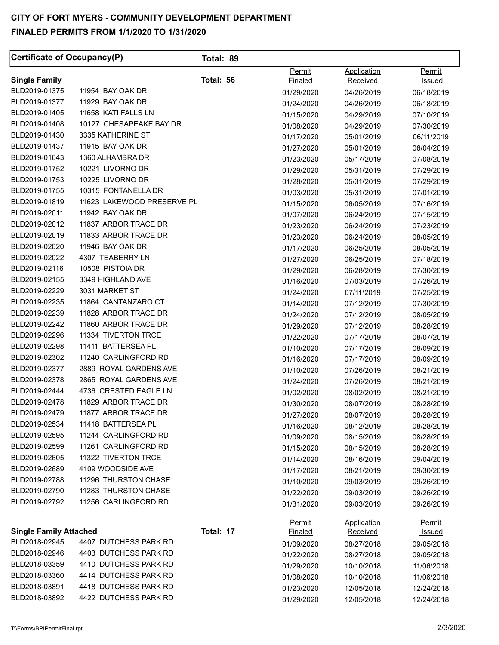| Certificate of Occupancy(P)   |                            | Total: 89 |               |                    |               |
|-------------------------------|----------------------------|-----------|---------------|--------------------|---------------|
|                               |                            |           | Permit        | Application        | Permit        |
| <b>Single Family</b>          |                            | Total: 56 | Finaled       | <b>Received</b>    | Issued        |
| BLD2019-01375                 | 11954 BAY OAK DR           |           | 01/29/2020    | 04/26/2019         | 06/18/2019    |
| BLD2019-01377                 | 11929 BAY OAK DR           |           | 01/24/2020    | 04/26/2019         | 06/18/2019    |
| BLD2019-01405                 | 11658 KATI FALLS LN        |           | 01/15/2020    | 04/29/2019         | 07/10/2019    |
| BLD2019-01408                 | 10127 CHESAPEAKE BAY DR    |           | 01/08/2020    | 04/29/2019         | 07/30/2019    |
| BLD2019-01430                 | 3335 KATHERINE ST          |           | 01/17/2020    | 05/01/2019         | 06/11/2019    |
| BLD2019-01437                 | 11915 BAY OAK DR           |           | 01/27/2020    | 05/01/2019         | 06/04/2019    |
| BLD2019-01643                 | 1360 ALHAMBRA DR           |           | 01/23/2020    | 05/17/2019         | 07/08/2019    |
| BLD2019-01752                 | 10221 LIVORNO DR           |           | 01/29/2020    | 05/31/2019         | 07/29/2019    |
| BLD2019-01753                 | 10225 LIVORNO DR           |           | 01/28/2020    | 05/31/2019         | 07/29/2019    |
| BLD2019-01755                 | 10315 FONTANELLA DR        |           | 01/03/2020    | 05/31/2019         | 07/01/2019    |
| BLD2019-01819                 | 11623 LAKEWOOD PRESERVE PL |           | 01/15/2020    | 06/05/2019         | 07/16/2019    |
| BLD2019-02011                 | 11942 BAY OAK DR           |           | 01/07/2020    | 06/24/2019         | 07/15/2019    |
| BLD2019-02012                 | 11837 ARBOR TRACE DR       |           | 01/23/2020    | 06/24/2019         | 07/23/2019    |
| BLD2019-02019                 | 11833 ARBOR TRACE DR       |           | 01/23/2020    | 06/24/2019         | 08/05/2019    |
| BLD2019-02020                 | 11946 BAY OAK DR           |           | 01/17/2020    | 06/25/2019         | 08/05/2019    |
| BLD2019-02022                 | 4307 TEABERRY LN           |           | 01/27/2020    | 06/25/2019         | 07/18/2019    |
| BLD2019-02116                 | 10508 PISTOIA DR           |           | 01/29/2020    | 06/28/2019         | 07/30/2019    |
| BLD2019-02155                 | 3349 HIGHLAND AVE          |           | 01/16/2020    | 07/03/2019         | 07/26/2019    |
| BLD2019-02229                 | 3031 MARKET ST             |           | 01/24/2020    | 07/11/2019         | 07/25/2019    |
| BLD2019-02235                 | 11864 CANTANZARO CT        |           | 01/14/2020    | 07/12/2019         | 07/30/2019    |
| BLD2019-02239                 | 11828 ARBOR TRACE DR       |           | 01/24/2020    | 07/12/2019         | 08/05/2019    |
| BLD2019-02242                 | 11860 ARBOR TRACE DR       |           | 01/29/2020    | 07/12/2019         | 08/28/2019    |
| BLD2019-02296                 | 11334 TIVERTON TRCE        |           | 01/22/2020    | 07/17/2019         | 08/07/2019    |
| BLD2019-02298                 | 11411 BATTERSEA PL         |           | 01/10/2020    | 07/17/2019         | 08/09/2019    |
| BLD2019-02302                 | 11240 CARLINGFORD RD       |           | 01/16/2020    | 07/17/2019         | 08/09/2019    |
| BLD2019-02377                 | 2889 ROYAL GARDENS AVE     |           | 01/10/2020    | 07/26/2019         | 08/21/2019    |
| BLD2019-02378                 | 2865 ROYAL GARDENS AVE     |           | 01/24/2020    | 07/26/2019         | 08/21/2019    |
| BLD2019-02444                 | 4736 CRESTED EAGLE LN      |           | 01/02/2020    | 08/02/2019         | 08/21/2019    |
| BLD2019-02478                 | 11829 ARBOR TRACE DR       |           | 01/30/2020    | 08/07/2019         | 08/28/2019    |
| BLD2019-02479                 | 11877 ARBOR TRACE DR       |           | 01/27/2020    | 08/07/2019         | 08/28/2019    |
| BLD2019-02534                 | 11418 BATTERSEA PL         |           | 01/16/2020    | 08/12/2019         | 08/28/2019    |
| BLD2019-02595                 | 11244 CARLINGFORD RD       |           | 01/09/2020    | 08/15/2019         | 08/28/2019    |
| BLD2019-02599                 | 11261 CARLINGFORD RD       |           | 01/15/2020    | 08/15/2019         | 08/28/2019    |
| BLD2019-02605                 | 11322 TIVERTON TRCE        |           | 01/14/2020    | 08/16/2019         | 09/04/2019    |
| BLD2019-02689                 | 4109 WOODSIDE AVE          |           | 01/17/2020    | 08/21/2019         | 09/30/2019    |
| BLD2019-02788                 | 11296 THURSTON CHASE       |           | 01/10/2020    | 09/03/2019         | 09/26/2019    |
| BLD2019-02790                 | 11283 THURSTON CHASE       |           | 01/22/2020    | 09/03/2019         | 09/26/2019    |
| BLD2019-02792                 | 11256 CARLINGFORD RD       |           | 01/31/2020    | 09/03/2019         | 09/26/2019    |
|                               |                            |           | <b>Permit</b> | <b>Application</b> | <u>Permit</u> |
| <b>Single Family Attached</b> |                            | Total: 17 | Finaled       | <b>Received</b>    | <u>Issued</u> |
| BLD2018-02945                 | 4407 DUTCHESS PARK RD      |           | 01/09/2020    | 08/27/2018         | 09/05/2018    |
| BLD2018-02946                 | 4403 DUTCHESS PARK RD      |           | 01/22/2020    | 08/27/2018         | 09/05/2018    |
| BLD2018-03359                 | 4410 DUTCHESS PARK RD      |           | 01/29/2020    | 10/10/2018         | 11/06/2018    |
| BLD2018-03360                 | 4414 DUTCHESS PARK RD      |           | 01/08/2020    | 10/10/2018         | 11/06/2018    |
| BLD2018-03891                 | 4418 DUTCHESS PARK RD      |           | 01/23/2020    | 12/05/2018         | 12/24/2018    |
| BLD2018-03892                 | 4422 DUTCHESS PARK RD      |           | 01/29/2020    | 12/05/2018         | 12/24/2018    |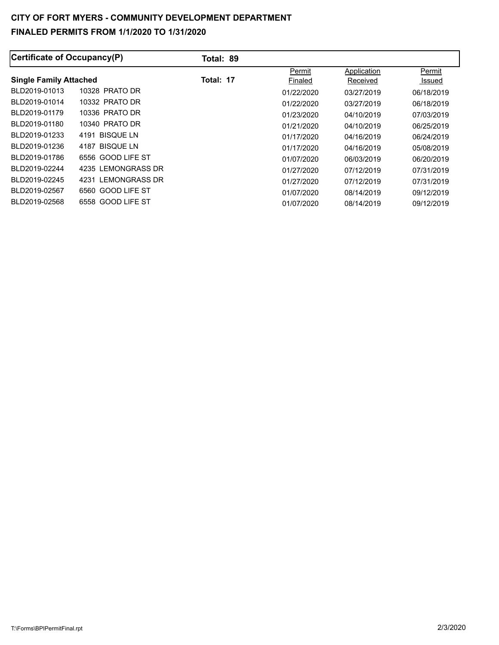| Certificate of Occupancy(P)   |                       | Total: 89 |            |             |            |
|-------------------------------|-----------------------|-----------|------------|-------------|------------|
|                               |                       |           | Permit     | Application | Permit     |
| <b>Single Family Attached</b> |                       | Total: 17 | Finaled    | Received    | Issued     |
| BLD2019-01013                 | 10328 PRATO DR        |           | 01/22/2020 | 03/27/2019  | 06/18/2019 |
| BLD2019-01014                 | 10332 PRATO DR        |           | 01/22/2020 | 03/27/2019  | 06/18/2019 |
| BLD2019-01179                 | 10336 PRATO DR        |           | 01/23/2020 | 04/10/2019  | 07/03/2019 |
| BLD2019-01180                 | 10340 PRATO DR        |           | 01/21/2020 | 04/10/2019  | 06/25/2019 |
| BLD2019-01233                 | 4191 BISQUE LN        |           | 01/17/2020 | 04/16/2019  | 06/24/2019 |
| BLD2019-01236                 | 4187 BISQUE LN        |           | 01/17/2020 | 04/16/2019  | 05/08/2019 |
| BLD2019-01786                 | 6556 GOOD LIFE ST     |           | 01/07/2020 | 06/03/2019  | 06/20/2019 |
| BLD2019-02244                 | 4235 LEMONGRASS DR    |           | 01/27/2020 | 07/12/2019  | 07/31/2019 |
| BLD2019-02245                 | LEMONGRASS DR<br>4231 |           | 01/27/2020 | 07/12/2019  | 07/31/2019 |
| BLD2019-02567                 | 6560 GOOD LIFE ST     |           | 01/07/2020 | 08/14/2019  | 09/12/2019 |
| BLD2019-02568                 | 6558 GOOD LIFE ST     |           | 01/07/2020 | 08/14/2019  | 09/12/2019 |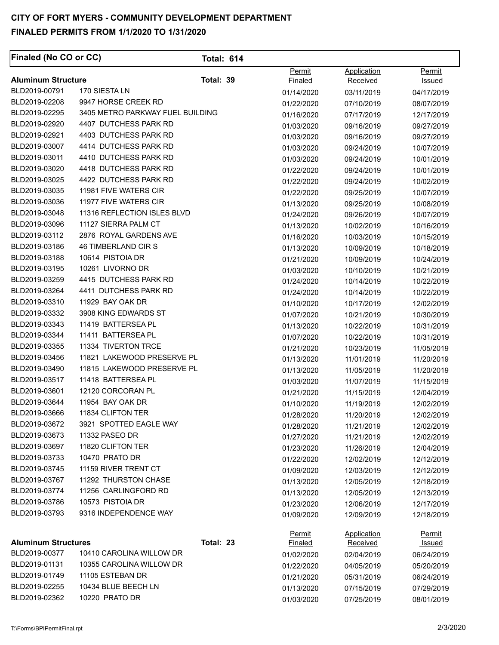| <b>Finaled (No CO or CC)</b> |                                  | <b>Total: 614</b> |                          |                         |                  |
|------------------------------|----------------------------------|-------------------|--------------------------|-------------------------|------------------|
| <b>Aluminum Structure</b>    |                                  | Total: 39         | Permit<br><u>Finaled</u> | Application<br>Received | Permit<br>Issued |
| BLD2019-00791                | 170 SIESTA LN                    |                   | 01/14/2020               | 03/11/2019              | 04/17/2019       |
| BLD2019-02208                | 9947 HORSE CREEK RD              |                   | 01/22/2020               | 07/10/2019              | 08/07/2019       |
| BLD2019-02295                | 3405 METRO PARKWAY FUEL BUILDING |                   | 01/16/2020               | 07/17/2019              | 12/17/2019       |
| BLD2019-02920                | 4407 DUTCHESS PARK RD            |                   | 01/03/2020               | 09/16/2019              | 09/27/2019       |
| BLD2019-02921                | 4403 DUTCHESS PARK RD            |                   | 01/03/2020               | 09/16/2019              | 09/27/2019       |
| BLD2019-03007                | 4414 DUTCHESS PARK RD            |                   | 01/03/2020               | 09/24/2019              | 10/07/2019       |
| BLD2019-03011                | 4410 DUTCHESS PARK RD            |                   | 01/03/2020               | 09/24/2019              | 10/01/2019       |
| BLD2019-03020                | 4418 DUTCHESS PARK RD            |                   | 01/22/2020               | 09/24/2019              | 10/01/2019       |
| BLD2019-03025                | 4422 DUTCHESS PARK RD            |                   | 01/22/2020               | 09/24/2019              | 10/02/2019       |
| BLD2019-03035                | 11981 FIVE WATERS CIR            |                   | 01/22/2020               | 09/25/2019              | 10/07/2019       |
| BLD2019-03036                | 11977 FIVE WATERS CIR            |                   | 01/13/2020               | 09/25/2019              | 10/08/2019       |
| BLD2019-03048                | 11316 REFLECTION ISLES BLVD      |                   | 01/24/2020               | 09/26/2019              | 10/07/2019       |
| BLD2019-03096                | 11127 SIERRA PALM CT             |                   | 01/13/2020               | 10/02/2019              | 10/16/2019       |
| BLD2019-03112                | 2876 ROYAL GARDENS AVE           |                   | 01/16/2020               | 10/03/2019              | 10/15/2019       |
| BLD2019-03186                | 46 TIMBERLAND CIR S              |                   | 01/13/2020               | 10/09/2019              | 10/18/2019       |
| BLD2019-03188                | 10614 PISTOIA DR                 |                   | 01/21/2020               | 10/09/2019              | 10/24/2019       |
| BLD2019-03195                | 10261 LIVORNO DR                 |                   | 01/03/2020               | 10/10/2019              | 10/21/2019       |
| BLD2019-03259                | 4415 DUTCHESS PARK RD            |                   | 01/24/2020               | 10/14/2019              | 10/22/2019       |
| BLD2019-03264                | 4411 DUTCHESS PARK RD            |                   | 01/24/2020               | 10/14/2019              | 10/22/2019       |
| BLD2019-03310                | 11929 BAY OAK DR                 |                   | 01/10/2020               | 10/17/2019              | 12/02/2019       |
| BLD2019-03332                | 3908 KING EDWARDS ST             |                   | 01/07/2020               | 10/21/2019              | 10/30/2019       |
| BLD2019-03343                | 11419 BATTERSEA PL               |                   | 01/13/2020               | 10/22/2019              | 10/31/2019       |
| BLD2019-03344                | 11411 BATTERSEA PL               |                   | 01/07/2020               | 10/22/2019              | 10/31/2019       |
| BLD2019-03355                | 11334 TIVERTON TRCE              |                   | 01/21/2020               | 10/23/2019              | 11/05/2019       |
| BLD2019-03456                | 11821 LAKEWOOD PRESERVE PL       |                   | 01/13/2020               | 11/01/2019              | 11/20/2019       |
| BLD2019-03490                | 11815 LAKEWOOD PRESERVE PL       |                   | 01/13/2020               | 11/05/2019              | 11/20/2019       |
| BLD2019-03517                | 11418 BATTERSEA PL               |                   | 01/03/2020               | 11/07/2019              | 11/15/2019       |
| BLD2019-03601                | 12120 CORCORAN PL                |                   | 01/21/2020               | 11/15/2019              | 12/04/2019       |
| BLD2019-03644                | 11954 BAY OAK DR                 |                   | 01/10/2020               | 11/19/2019              | 12/02/2019       |
| BLD2019-03666                | 11834 CLIFTON TER                |                   | 01/28/2020               | 11/20/2019              | 12/02/2019       |
| BLD2019-03672                | 3921 SPOTTED EAGLE WAY           |                   | 01/28/2020               | 11/21/2019              | 12/02/2019       |
| BLD2019-03673                | 11332 PASEO DR                   |                   | 01/27/2020               | 11/21/2019              | 12/02/2019       |
| BLD2019-03697                | 11820 CLIFTON TER                |                   | 01/23/2020               | 11/26/2019              | 12/04/2019       |
| BLD2019-03733                | 10470 PRATO DR                   |                   | 01/22/2020               | 12/02/2019              | 12/12/2019       |
| BLD2019-03745                | 11159 RIVER TRENT CT             |                   | 01/09/2020               | 12/03/2019              | 12/12/2019       |
| BLD2019-03767                | 11292 THURSTON CHASE             |                   | 01/13/2020               | 12/05/2019              | 12/18/2019       |
| BLD2019-03774                | 11256 CARLINGFORD RD             |                   | 01/13/2020               | 12/05/2019              | 12/13/2019       |
| BLD2019-03786                | 10573 PISTOIA DR                 |                   | 01/23/2020               | 12/06/2019              | 12/17/2019       |
| BLD2019-03793                | 9316 INDEPENDENCE WAY            |                   | 01/09/2020               | 12/09/2019              | 12/18/2019       |
|                              |                                  |                   | Permit                   | <b>Application</b>      | Permit           |
| <b>Aluminum Structures</b>   |                                  | Total: 23         | Finaled                  | Received                | Issued           |
| BLD2019-00377                | 10410 CAROLINA WILLOW DR         |                   | 01/02/2020               | 02/04/2019              | 06/24/2019       |
| BLD2019-01131                | 10355 CAROLINA WILLOW DR         |                   | 01/22/2020               | 04/05/2019              | 05/20/2019       |
| BLD2019-01749                | 11105 ESTEBAN DR                 |                   | 01/21/2020               | 05/31/2019              | 06/24/2019       |
| BLD2019-02255                | 10434 BLUE BEECH LN              |                   | 01/13/2020               | 07/15/2019              | 07/29/2019       |
| BLD2019-02362                | 10220 PRATO DR                   |                   | 01/03/2020               | 07/25/2019              | 08/01/2019       |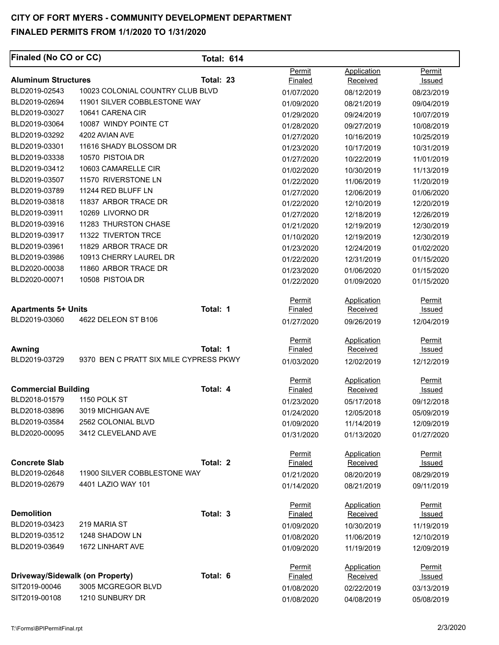| Finaled (No CO or CC)                       |                                        | <b>Total: 614</b> |                          |                         |                         |
|---------------------------------------------|----------------------------------------|-------------------|--------------------------|-------------------------|-------------------------|
| <b>Aluminum Structures</b>                  |                                        | Total: 23         | Permit<br><b>Finaled</b> | Application<br>Received | Permit<br><b>Issued</b> |
| BLD2019-02543                               | 10023 COLONIAL COUNTRY CLUB BLVD       |                   | 01/07/2020               | 08/12/2019              | 08/23/2019              |
| BLD2019-02694                               | 11901 SILVER COBBLESTONE WAY           |                   | 01/09/2020               | 08/21/2019              | 09/04/2019              |
| BLD2019-03027                               | 10641 CARENA CIR                       |                   | 01/29/2020               | 09/24/2019              | 10/07/2019              |
| BLD2019-03064                               | 10087 WINDY POINTE CT                  |                   | 01/28/2020               | 09/27/2019              | 10/08/2019              |
| BLD2019-03292                               | 4202 AVIAN AVE                         |                   | 01/27/2020               | 10/16/2019              | 10/25/2019              |
| BLD2019-03301                               | 11616 SHADY BLOSSOM DR                 |                   | 01/23/2020               | 10/17/2019              | 10/31/2019              |
| BLD2019-03338                               | 10570 PISTOIA DR                       |                   | 01/27/2020               | 10/22/2019              | 11/01/2019              |
| BLD2019-03412                               | 10603 CAMARELLE CIR                    |                   | 01/02/2020               | 10/30/2019              | 11/13/2019              |
| BLD2019-03507                               | 11570 RIVERSTONE LN                    |                   | 01/22/2020               | 11/06/2019              | 11/20/2019              |
| BLD2019-03789                               | 11244 RED BLUFF LN                     |                   | 01/27/2020               | 12/06/2019              | 01/06/2020              |
| BLD2019-03818                               | 11837 ARBOR TRACE DR                   |                   | 01/22/2020               | 12/10/2019              | 12/20/2019              |
| BLD2019-03911                               | 10269 LIVORNO DR                       |                   | 01/27/2020               | 12/18/2019              | 12/26/2019              |
| BLD2019-03916                               | 11283 THURSTON CHASE                   |                   | 01/21/2020               | 12/19/2019              | 12/30/2019              |
| BLD2019-03917                               | 11322 TIVERTON TRCE                    |                   | 01/10/2020               | 12/19/2019              | 12/30/2019              |
| BLD2019-03961                               | 11829 ARBOR TRACE DR                   |                   | 01/23/2020               | 12/24/2019              | 01/02/2020              |
| BLD2019-03986                               | 10913 CHERRY LAUREL DR                 |                   | 01/22/2020               | 12/31/2019              | 01/15/2020              |
| BLD2020-00038                               | 11860 ARBOR TRACE DR                   |                   | 01/23/2020               | 01/06/2020              | 01/15/2020              |
| BLD2020-00071                               | 10508 PISTOIA DR                       |                   | 01/22/2020               | 01/09/2020              | 01/15/2020              |
|                                             |                                        |                   | Permit                   | Application             | Permit                  |
| <b>Apartments 5+ Units</b>                  |                                        | Total: 1          | <b>Finaled</b>           | Received                | <u>Issued</u>           |
| BLD2019-03060                               | 4622 DELEON ST B106                    |                   | 01/27/2020               | 09/26/2019              | 12/04/2019              |
| Awning                                      |                                        | Total: 1          | Permit<br><b>Finaled</b> | Application<br>Received | Permit                  |
| BLD2019-03729                               | 9370 BEN C PRATT SIX MILE CYPRESS PKWY |                   |                          |                         | <u>Issued</u>           |
|                                             |                                        |                   | 01/03/2020               | 12/02/2019              | 12/12/2019              |
|                                             |                                        |                   | Permit                   | Application             | Permit                  |
| <b>Commercial Building</b><br>BLD2018-01579 | 1150 POLK ST                           | Total: 4          | <b>Finaled</b>           | Received                | <u>Issued</u>           |
| BLD2018-03896                               | 3019 MICHIGAN AVE                      |                   | 01/23/2020               | 05/17/2018              | 09/12/2018              |
| BLD2019-03584                               | 2562 COLONIAL BLVD                     |                   | 01/24/2020               | 12/05/2018              | 05/09/2019              |
| BLD2020-00095                               | 3412 CLEVELAND AVE                     |                   | 01/09/2020               | 11/14/2019              | 12/09/2019              |
|                                             |                                        |                   | 01/31/2020               | 01/13/2020              | 01/27/2020              |
|                                             |                                        |                   | Permit                   | Application             | Permit                  |
| <b>Concrete Slab</b>                        |                                        | Total: 2          | Finaled                  | Received                | <b>Issued</b>           |
| BLD2019-02648                               | 11900 SILVER COBBLESTONE WAY           |                   | 01/21/2020               | 08/20/2019              | 08/29/2019              |
| BLD2019-02679                               | 4401 LAZIO WAY 101                     |                   | 01/14/2020               | 08/21/2019              | 09/11/2019              |
|                                             |                                        |                   | Permit                   | Application             | Permit                  |
| <b>Demolition</b>                           |                                        | Total: 3          | Finaled                  | Received                | <u>Issued</u>           |
| BLD2019-03423                               | 219 MARIA ST                           |                   | 01/09/2020               | 10/30/2019              | 11/19/2019              |
| BLD2019-03512                               | 1248 SHADOW LN                         |                   | 01/08/2020               | 11/06/2019              | 12/10/2019              |
| BLD2019-03649                               | 1672 LINHART AVE                       |                   | 01/09/2020               | 11/19/2019              | 12/09/2019              |
|                                             |                                        |                   | Permit                   | Application             | Permit                  |
| Driveway/Sidewalk (on Property)             |                                        | Total: 6          | <b>Finaled</b>           | Received                | <u>Issued</u>           |
| SIT2019-00046                               | 3005 MCGREGOR BLVD                     |                   | 01/08/2020               | 02/22/2019              | 03/13/2019              |
| SIT2019-00108                               | 1210 SUNBURY DR                        |                   | 01/08/2020               | 04/08/2019              | 05/08/2019              |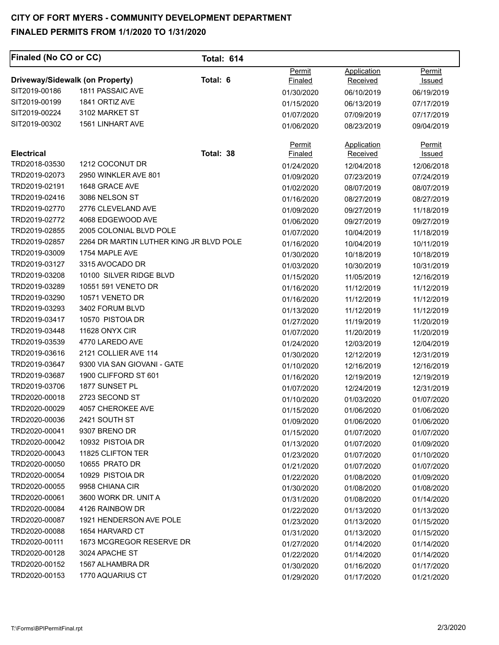| <b>Finaled (No CO or CC)</b>    |                                         | <b>Total: 614</b> |                   |                                |                  |
|---------------------------------|-----------------------------------------|-------------------|-------------------|--------------------------------|------------------|
| Driveway/Sidewalk (on Property) |                                         | Total: 6          | Permit<br>Finaled | Application<br><b>Received</b> | Permit<br>Issued |
| SIT2019-00186                   | 1811 PASSAIC AVE                        |                   | 01/30/2020        | 06/10/2019                     | 06/19/2019       |
| SIT2019-00199                   | 1841 ORTIZ AVE                          |                   | 01/15/2020        | 06/13/2019                     | 07/17/2019       |
| SIT2019-00224                   | 3102 MARKET ST                          |                   | 01/07/2020        | 07/09/2019                     | 07/17/2019       |
| SIT2019-00302                   | 1561 LINHART AVE                        |                   | 01/06/2020        | 08/23/2019                     | 09/04/2019       |
|                                 |                                         |                   |                   |                                |                  |
| <b>Electrical</b>               |                                         | Total: 38         | Permit<br>Finaled | Application<br>Received        | Permit<br>Issued |
| TRD2018-03530                   | 1212 COCONUT DR                         |                   | 01/24/2020        | 12/04/2018                     | 12/06/2018       |
| TRD2019-02073                   | 2950 WINKLER AVE 801                    |                   | 01/09/2020        | 07/23/2019                     | 07/24/2019       |
| TRD2019-02191                   | 1648 GRACE AVE                          |                   | 01/02/2020        | 08/07/2019                     | 08/07/2019       |
| TRD2019-02416                   | 3086 NELSON ST                          |                   | 01/16/2020        | 08/27/2019                     | 08/27/2019       |
| TRD2019-02770                   | 2776 CLEVELAND AVE                      |                   | 01/09/2020        | 09/27/2019                     | 11/18/2019       |
| TRD2019-02772                   | 4068 EDGEWOOD AVE                       |                   | 01/06/2020        | 09/27/2019                     | 09/27/2019       |
| TRD2019-02855                   | 2005 COLONIAL BLVD POLE                 |                   | 01/07/2020        | 10/04/2019                     | 11/18/2019       |
| TRD2019-02857                   | 2264 DR MARTIN LUTHER KING JR BLVD POLE |                   | 01/16/2020        | 10/04/2019                     | 10/11/2019       |
| TRD2019-03009                   | 1754 MAPLE AVE                          |                   | 01/30/2020        | 10/18/2019                     | 10/18/2019       |
| TRD2019-03127                   | 3315 AVOCADO DR                         |                   | 01/03/2020        | 10/30/2019                     | 10/31/2019       |
| TRD2019-03208                   | 10100 SILVER RIDGE BLVD                 |                   | 01/15/2020        | 11/05/2019                     | 12/16/2019       |
| TRD2019-03289                   | 10551 591 VENETO DR                     |                   | 01/16/2020        | 11/12/2019                     | 11/12/2019       |
| TRD2019-03290                   | 10571 VENETO DR                         |                   | 01/16/2020        | 11/12/2019                     | 11/12/2019       |
| TRD2019-03293                   | 3402 FORUM BLVD                         |                   | 01/13/2020        | 11/12/2019                     | 11/12/2019       |
| TRD2019-03417                   | 10570 PISTOIA DR                        |                   | 01/27/2020        | 11/19/2019                     | 11/20/2019       |
| TRD2019-03448                   | 11628 ONYX CIR                          |                   | 01/07/2020        | 11/20/2019                     | 11/20/2019       |
| TRD2019-03539                   | 4770 LAREDO AVE                         |                   | 01/24/2020        | 12/03/2019                     | 12/04/2019       |
| TRD2019-03616                   | 2121 COLLIER AVE 114                    |                   | 01/30/2020        | 12/12/2019                     | 12/31/2019       |
| TRD2019-03647                   | 9300 VIA SAN GIOVANI - GATE             |                   | 01/10/2020        | 12/16/2019                     | 12/16/2019       |
| TRD2019-03687                   | 1900 CLIFFORD ST 601                    |                   | 01/16/2020        | 12/19/2019                     | 12/19/2019       |
| TRD2019-03706                   | 1877 SUNSET PL                          |                   | 01/07/2020        | 12/24/2019                     | 12/31/2019       |
| TRD2020-00018                   | 2723 SECOND ST                          |                   | 01/10/2020        | 01/03/2020                     | 01/07/2020       |
| TRD2020-00029                   | 4057 CHEROKEE AVE                       |                   | 01/15/2020        | 01/06/2020                     | 01/06/2020       |
| TRD2020-00036                   | 2421 SOUTH ST                           |                   | 01/09/2020        | 01/06/2020                     | 01/06/2020       |
| TRD2020-00041                   | 9307 BRENO DR                           |                   | 01/15/2020        | 01/07/2020                     | 01/07/2020       |
| TRD2020-00042                   | 10932 PISTOIA DR                        |                   | 01/13/2020        | 01/07/2020                     | 01/09/2020       |
| TRD2020-00043                   | 11825 CLIFTON TER                       |                   | 01/23/2020        | 01/07/2020                     | 01/10/2020       |
| TRD2020-00050                   | 10655 PRATO DR                          |                   | 01/21/2020        | 01/07/2020                     | 01/07/2020       |
| TRD2020-00054                   | 10929 PISTOIA DR                        |                   | 01/22/2020        | 01/08/2020                     | 01/09/2020       |
| TRD2020-00055                   | 9958 CHIANA CIR                         |                   | 01/30/2020        | 01/08/2020                     | 01/08/2020       |
| TRD2020-00061                   | 3600 WORK DR. UNIT A                    |                   | 01/31/2020        | 01/08/2020                     | 01/14/2020       |
| TRD2020-00084                   | 4126 RAINBOW DR                         |                   | 01/22/2020        | 01/13/2020                     | 01/13/2020       |
| TRD2020-00087                   | 1921 HENDERSON AVE POLE                 |                   | 01/23/2020        | 01/13/2020                     | 01/15/2020       |
| TRD2020-00088                   | 1654 HARVARD CT                         |                   | 01/31/2020        | 01/13/2020                     | 01/15/2020       |
| TRD2020-00111                   | 1673 MCGREGOR RESERVE DR                |                   | 01/27/2020        | 01/14/2020                     | 01/14/2020       |
| TRD2020-00128                   | 3024 APACHE ST                          |                   | 01/22/2020        | 01/14/2020                     | 01/14/2020       |
| TRD2020-00152                   | 1567 ALHAMBRA DR                        |                   | 01/30/2020        | 01/16/2020                     | 01/17/2020       |
| TRD2020-00153                   | 1770 AQUARIUS CT                        |                   | 01/29/2020        | 01/17/2020                     | 01/21/2020       |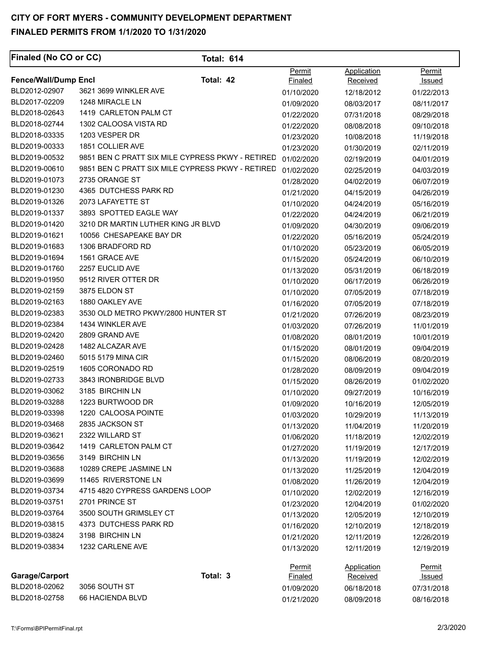| <b>Finaled (No CO or CC)</b> |                                                  | <b>Total: 614</b> |                |                 |               |
|------------------------------|--------------------------------------------------|-------------------|----------------|-----------------|---------------|
|                              |                                                  |                   | Permit         | Application     | Permit        |
| <b>Fence/Wall/Dump Encl</b>  | Total: 42                                        |                   | <b>Finaled</b> | <b>Received</b> | <u>Issued</u> |
| BLD2012-02907                | 3621 3699 WINKLER AVE                            |                   | 01/10/2020     | 12/18/2012      | 01/22/2013    |
| BLD2017-02209                | 1248 MIRACLE LN                                  |                   | 01/09/2020     | 08/03/2017      | 08/11/2017    |
| BLD2018-02643                | 1419 CARLETON PALM CT                            |                   | 01/22/2020     | 07/31/2018      | 08/29/2018    |
| BLD2018-02744                | 1302 CALOOSA VISTA RD                            |                   | 01/22/2020     | 08/08/2018      | 09/10/2018    |
| BLD2018-03335                | 1203 VESPER DR                                   |                   | 01/23/2020     | 10/08/2018      | 11/19/2018    |
| BLD2019-00333                | 1851 COLLIER AVE                                 |                   | 01/23/2020     | 01/30/2019      | 02/11/2019    |
| BLD2019-00532                | 9851 BEN C PRATT SIX MILE CYPRESS PKWY - RETIRED |                   | 01/02/2020     | 02/19/2019      | 04/01/2019    |
| BLD2019-00610                | 9851 BEN C PRATT SIX MILE CYPRESS PKWY - RETIRED |                   | 01/02/2020     | 02/25/2019      | 04/03/2019    |
| BLD2019-01073                | 2735 ORANGE ST                                   |                   | 01/28/2020     | 04/02/2019      | 06/07/2019    |
| BLD2019-01230                | 4365 DUTCHESS PARK RD                            |                   | 01/21/2020     | 04/15/2019      | 04/26/2019    |
| BLD2019-01326                | 2073 LAFAYETTE ST                                |                   | 01/10/2020     | 04/24/2019      | 05/16/2019    |
| BLD2019-01337                | 3893 SPOTTED EAGLE WAY                           |                   | 01/22/2020     | 04/24/2019      | 06/21/2019    |
| BLD2019-01420                | 3210 DR MARTIN LUTHER KING JR BLVD               |                   | 01/09/2020     | 04/30/2019      | 09/06/2019    |
| BLD2019-01621                | 10056 CHESAPEAKE BAY DR                          |                   | 01/22/2020     | 05/16/2019      | 05/24/2019    |
| BLD2019-01683                | 1306 BRADFORD RD                                 |                   | 01/10/2020     | 05/23/2019      | 06/05/2019    |
| BLD2019-01694                | 1561 GRACE AVE                                   |                   | 01/15/2020     | 05/24/2019      | 06/10/2019    |
| BLD2019-01760                | 2257 EUCLID AVE                                  |                   | 01/13/2020     | 05/31/2019      | 06/18/2019    |
| BLD2019-01950                | 9512 RIVER OTTER DR                              |                   | 01/10/2020     | 06/17/2019      | 06/26/2019    |
| BLD2019-02159                | 3875 ELDON ST                                    |                   | 01/10/2020     | 07/05/2019      | 07/18/2019    |
| BLD2019-02163                | 1880 OAKLEY AVE                                  |                   | 01/16/2020     | 07/05/2019      | 07/18/2019    |
| BLD2019-02383                | 3530 OLD METRO PKWY/2800 HUNTER ST               |                   | 01/21/2020     | 07/26/2019      | 08/23/2019    |
| BLD2019-02384                | 1434 WINKLER AVE                                 |                   | 01/03/2020     | 07/26/2019      | 11/01/2019    |
| BLD2019-02420                | 2809 GRAND AVE                                   |                   | 01/08/2020     | 08/01/2019      | 10/01/2019    |
| BLD2019-02428                | 1482 ALCAZAR AVE                                 |                   | 01/15/2020     | 08/01/2019      | 09/04/2019    |
| BLD2019-02460                | 5015 5179 MINA CIR                               |                   | 01/15/2020     | 08/06/2019      | 08/20/2019    |
| BLD2019-02519                | 1605 CORONADO RD                                 |                   | 01/28/2020     | 08/09/2019      | 09/04/2019    |
| BLD2019-02733                | 3843 IRONBRIDGE BLVD                             |                   | 01/15/2020     | 08/26/2019      | 01/02/2020    |
| BLD2019-03062                | 3185 BIRCHIN LN                                  |                   | 01/10/2020     | 09/27/2019      | 10/16/2019    |
| BLD2019-03288                | 1223 BURTWOOD DR                                 |                   | 01/09/2020     | 10/16/2019      | 12/05/2019    |
| BLD2019-03398                | 1220 CALOOSA POINTE                              |                   | 01/03/2020     | 10/29/2019      | 11/13/2019    |
| BLD2019-03468                | 2835 JACKSON ST                                  |                   | 01/13/2020     | 11/04/2019      | 11/20/2019    |
| BLD2019-03621                | 2322 WILLARD ST                                  |                   | 01/06/2020     | 11/18/2019      | 12/02/2019    |
| BLD2019-03642                | 1419 CARLETON PALM CT                            |                   | 01/27/2020     | 11/19/2019      | 12/17/2019    |
| BLD2019-03656                | 3149 BIRCHIN LN                                  |                   | 01/13/2020     | 11/19/2019      | 12/02/2019    |
| BLD2019-03688                | 10289 CREPE JASMINE LN                           |                   | 01/13/2020     | 11/25/2019      | 12/04/2019    |
| BLD2019-03699                | 11465 RIVERSTONE LN                              |                   | 01/08/2020     | 11/26/2019      | 12/04/2019    |
| BLD2019-03734                | 4715 4820 CYPRESS GARDENS LOOP                   |                   | 01/10/2020     | 12/02/2019      | 12/16/2019    |
| BLD2019-03751                | 2701 PRINCE ST                                   |                   | 01/23/2020     | 12/04/2019      | 01/02/2020    |
| BLD2019-03764                | 3500 SOUTH GRIMSLEY CT                           |                   | 01/13/2020     | 12/05/2019      | 12/10/2019    |
| BLD2019-03815                | 4373 DUTCHESS PARK RD                            |                   | 01/16/2020     | 12/10/2019      | 12/18/2019    |
| BLD2019-03824                | 3198 BIRCHIN LN                                  |                   | 01/21/2020     | 12/11/2019      | 12/26/2019    |
| BLD2019-03834                | 1232 CARLENE AVE                                 |                   | 01/13/2020     | 12/11/2019      | 12/19/2019    |
|                              |                                                  |                   |                |                 |               |
|                              |                                                  |                   | <b>Permit</b>  | Application     | Permit        |
| Garage/Carport               | Total: 3                                         |                   | <b>Finaled</b> | Received        | <u>Issued</u> |
| BLD2018-02062                | 3056 SOUTH ST                                    |                   | 01/09/2020     | 06/18/2018      | 07/31/2018    |
| BLD2018-02758                | 66 HACIENDA BLVD                                 |                   | 01/21/2020     | 08/09/2018      | 08/16/2018    |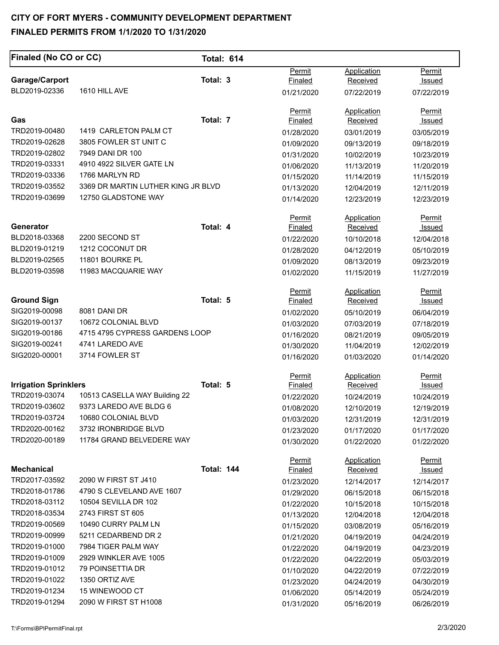| Finaled (No CO or CC)           |                                    | <b>Total: 614</b> |                |                    |               |
|---------------------------------|------------------------------------|-------------------|----------------|--------------------|---------------|
|                                 |                                    | Total: 3          | Permit         | Application        | Permit        |
| Garage/Carport<br>BLD2019-02336 | 1610 HILL AVE                      |                   | Finaled        | Received           | Issued        |
|                                 |                                    |                   | 01/21/2020     | 07/22/2019         | 07/22/2019    |
|                                 |                                    |                   | Permit         | <b>Application</b> | Permit        |
| Gas                             |                                    | Total: 7          | Finaled        | Received           | Issued        |
| TRD2019-00480                   | 1419 CARLETON PALM CT              |                   | 01/28/2020     | 03/01/2019         | 03/05/2019    |
| TRD2019-02628                   | 3805 FOWLER ST UNIT C              |                   | 01/09/2020     | 09/13/2019         | 09/18/2019    |
| TRD2019-02802                   | 7949 DANI DR 100                   |                   | 01/31/2020     | 10/02/2019         | 10/23/2019    |
| TRD2019-03331                   | 4910 4922 SILVER GATE LN           |                   | 01/06/2020     | 11/13/2019         | 11/20/2019    |
| TRD2019-03336                   | 1766 MARLYN RD                     |                   | 01/15/2020     | 11/14/2019         | 11/15/2019    |
| TRD2019-03552                   | 3369 DR MARTIN LUTHER KING JR BLVD |                   | 01/13/2020     | 12/04/2019         | 12/11/2019    |
| TRD2019-03699                   | 12750 GLADSTONE WAY                |                   | 01/14/2020     | 12/23/2019         | 12/23/2019    |
|                                 |                                    |                   | Permit         | Application        | Permit        |
| Generator                       |                                    | Total: 4          | <b>Finaled</b> | Received           | Issued        |
| BLD2018-03368                   | 2200 SECOND ST                     |                   | 01/22/2020     | 10/10/2018         | 12/04/2018    |
| BLD2019-01219                   | 1212 COCONUT DR                    |                   | 01/28/2020     | 04/12/2019         | 05/10/2019    |
| BLD2019-02565                   | 11801 BOURKE PL                    |                   | 01/09/2020     | 08/13/2019         | 09/23/2019    |
| BLD2019-03598                   | 11983 MACQUARIE WAY                |                   | 01/02/2020     | 11/15/2019         | 11/27/2019    |
|                                 |                                    |                   | Permit         | <b>Application</b> | Permit        |
| <b>Ground Sign</b>              |                                    | Total: 5          | Finaled        | Received           | Issued        |
| SIG2019-00098                   | 8081 DANI DR                       |                   | 01/02/2020     | 05/10/2019         | 06/04/2019    |
| SIG2019-00137                   | 10672 COLONIAL BLVD                |                   | 01/03/2020     | 07/03/2019         | 07/18/2019    |
| SIG2019-00186                   | 4715 4795 CYPRESS GARDENS LOOP     |                   | 01/16/2020     | 08/21/2019         | 09/05/2019    |
| SIG2019-00241                   | 4741 LAREDO AVE                    |                   | 01/30/2020     | 11/04/2019         | 12/02/2019    |
| SIG2020-00001                   | 3714 FOWLER ST                     |                   | 01/16/2020     | 01/03/2020         | 01/14/2020    |
|                                 |                                    |                   | Permit         | Application        | <b>Permit</b> |
| <b>Irrigation Sprinklers</b>    |                                    | Total: 5          | Finaled        | Received           | <u>Issued</u> |
| TRD2019-03074                   | 10513 CASELLA WAY Building 22      |                   | 01/22/2020     | 10/24/2019         | 10/24/2019    |
| TRD2019-03602                   | 9373 LAREDO AVE BLDG 6             |                   | 01/08/2020     | 12/10/2019         | 12/19/2019    |
| TRD2019-03724                   | 10680 COLONIAL BLVD                |                   | 01/03/2020     | 12/31/2019         | 12/31/2019    |
| TRD2020-00162                   | 3732 IRONBRIDGE BLVD               |                   | 01/23/2020     | 01/17/2020         | 01/17/2020    |
| TRD2020-00189                   | 11784 GRAND BELVEDERE WAY          |                   | 01/30/2020     | 01/22/2020         | 01/22/2020    |
|                                 |                                    |                   | Permit         | <b>Application</b> | Permit        |
| <b>Mechanical</b>               |                                    | <b>Total: 144</b> | <b>Finaled</b> | Received           | Issued        |
| TRD2017-03592                   | 2090 W FIRST ST J410               |                   | 01/23/2020     | 12/14/2017         | 12/14/2017    |
| TRD2018-01786                   | 4790 S CLEVELAND AVE 1607          |                   | 01/29/2020     | 06/15/2018         | 06/15/2018    |
| TRD2018-03112                   | 10504 SEVILLA DR 102               |                   | 01/22/2020     | 10/15/2018         | 10/15/2018    |
| TRD2018-03534                   | 2743 FIRST ST 605                  |                   | 01/13/2020     | 12/04/2018         | 12/04/2018    |
| TRD2019-00569                   | 10490 CURRY PALM LN                |                   | 01/15/2020     | 03/08/2019         | 05/16/2019    |
| TRD2019-00999                   | 5211 CEDARBEND DR 2                |                   | 01/21/2020     | 04/19/2019         | 04/24/2019    |
| TRD2019-01000                   | 7984 TIGER PALM WAY                |                   | 01/22/2020     | 04/19/2019         | 04/23/2019    |
| TRD2019-01009                   | 2929 WINKLER AVE 1005              |                   | 01/22/2020     | 04/22/2019         | 05/03/2019    |
| TRD2019-01012                   | 79 POINSETTIA DR                   |                   | 01/10/2020     | 04/22/2019         | 07/22/2019    |
| TRD2019-01022                   | 1350 ORTIZ AVE                     |                   | 01/23/2020     | 04/24/2019         | 04/30/2019    |
| TRD2019-01234                   | 15 WINEWOOD CT                     |                   | 01/06/2020     | 05/14/2019         | 05/24/2019    |
| TRD2019-01294                   | 2090 W FIRST ST H1008              |                   | 01/31/2020     | 05/16/2019         | 06/26/2019    |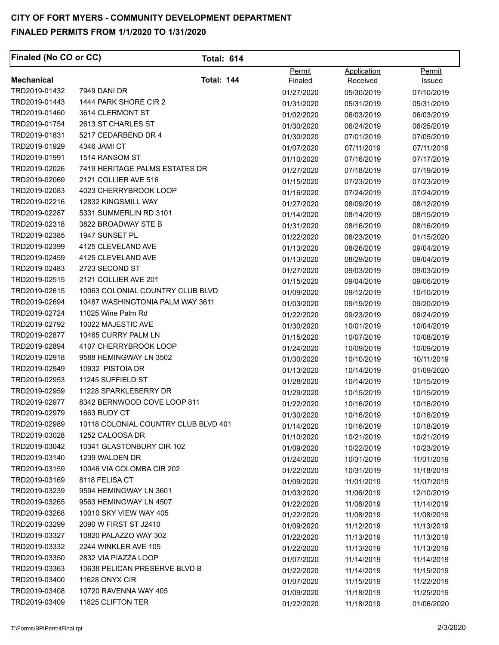| <b>Finaled (No CO or CC)</b> | <b>Total: 614</b>                    |                |                 |               |
|------------------------------|--------------------------------------|----------------|-----------------|---------------|
|                              |                                      | Permit         | Application     | Permit        |
| <b>Mechanical</b>            | <b>Total: 144</b>                    | <b>Finaled</b> | <b>Received</b> | <u>Issued</u> |
| TRD2019-01432                | <b>7949 DANI DR</b>                  | 01/27/2020     | 05/30/2019      | 07/10/2019    |
| TRD2019-01443                | 1444 PARK SHORE CIR 2                | 01/31/2020     | 05/31/2019      | 05/31/2019    |
| TRD2019-01460                | 3614 CLERMONT ST                     | 01/02/2020     | 06/03/2019      | 06/03/2019    |
| TRD2019-01754                | 2613 ST CHARLES ST                   | 01/30/2020     | 06/24/2019      | 06/25/2019    |
| TRD2019-01831                | 5217 CEDARBEND DR 4                  | 01/30/2020     | 07/01/2019      | 07/05/2019    |
| TRD2019-01929                | 4346 JAMI CT                         | 01/07/2020     | 07/11/2019      | 07/11/2019    |
| TRD2019-01991                | 1514 RANSOM ST                       | 01/10/2020     | 07/16/2019      | 07/17/2019    |
| TRD2019-02026                | 7419 HERITAGE PALMS ESTATES DR       | 01/27/2020     | 07/18/2019      | 07/19/2019    |
| TRD2019-02069                | 2121 COLLIER AVE 516                 | 01/15/2020     | 07/23/2019      | 07/23/2019    |
| TRD2019-02083                | 4023 CHERRYBROOK LOOP                | 01/16/2020     | 07/24/2019      | 07/24/2019    |
| TRD2019-02216                | 12832 KINGSMILL WAY                  | 01/27/2020     | 08/09/2019      | 08/12/2019    |
| TRD2019-02287                | 5331 SUMMERLIN RD 3101               | 01/14/2020     | 08/14/2019      | 08/15/2019    |
| TRD2019-02318                | 3822 BROADWAY STE B                  | 01/31/2020     | 08/16/2019      | 08/16/2019    |
| TRD2019-02385                | 1947 SUNSET PL                       | 01/22/2020     | 08/23/2019      | 01/15/2020    |
| TRD2019-02399                | 4125 CLEVELAND AVE                   | 01/13/2020     | 08/26/2019      | 09/04/2019    |
| TRD2019-02459                | 4125 CLEVELAND AVE                   | 01/13/2020     | 08/29/2019      | 09/04/2019    |
| TRD2019-02483                | 2723 SECOND ST                       | 01/27/2020     | 09/03/2019      | 09/03/2019    |
| TRD2019-02515                | 2121 COLLIER AVE 201                 | 01/15/2020     | 09/04/2019      | 09/06/2019    |
| TRD2019-02615                | 10063 COLONIAL COUNTRY CLUB BLVD     | 01/09/2020     | 09/12/2019      | 10/10/2019    |
| TRD2019-02694                | 10487 WASHINGTONIA PALM WAY 3611     | 01/03/2020     | 09/19/2019      | 09/20/2019    |
| TRD2019-02724                | 11025 Wine Palm Rd                   | 01/22/2020     | 09/23/2019      | 09/24/2019    |
| TRD2019-02792                | 10022 MAJESTIC AVE                   | 01/30/2020     | 10/01/2019      | 10/04/2019    |
| TRD2019-02877                | 10465 CURRY PALM LN                  | 01/15/2020     | 10/07/2019      | 10/08/2019    |
| TRD2019-02894                | 4107 CHERRYBROOK LOOP                | 01/24/2020     | 10/09/2019      | 10/09/2019    |
| TRD2019-02918                | 9588 HEMINGWAY LN 3502               | 01/30/2020     | 10/10/2019      | 10/11/2019    |
| TRD2019-02949                | 10932 PISTOIA DR                     | 01/13/2020     | 10/14/2019      | 01/09/2020    |
| TRD2019-02953                | 11245 SUFFIELD ST                    | 01/28/2020     | 10/14/2019      | 10/15/2019    |
| TRD2019-02959                | 11228 SPARKLEBERRY DR                | 01/29/2020     | 10/15/2019      | 10/15/2019    |
| TRD2019-02977                | 8342 BERNWOOD COVE LOOP 811          | 01/22/2020     | 10/16/2019      | 10/16/2019    |
| TRD2019-02979                | 1663 RUDY CT                         | 01/30/2020     | 10/16/2019      | 10/16/2019    |
| TRD2019-02989                | 10118 COLONIAL COUNTRY CLUB BLVD 401 | 01/14/2020     | 10/16/2019      | 10/18/2019    |
| TRD2019-03028                | 1252 CALOOSA DR                      | 01/10/2020     | 10/21/2019      | 10/21/2019    |
| TRD2019-03042                | 10341 GLASTONBURY CIR 102            | 01/09/2020     | 10/22/2019      | 10/23/2019    |
| TRD2019-03140                | 1239 WALDEN DR                       | 01/24/2020     | 10/31/2019      | 11/01/2019    |
| TRD2019-03159                | 10046 VIA COLOMBA CIR 202            | 01/22/2020     | 10/31/2019      | 11/18/2019    |
| TRD2019-03169                | 8118 FELISA CT                       | 01/09/2020     | 11/01/2019      | 11/07/2019    |
| TRD2019-03239                | 9594 HEMINGWAY LN 3601               | 01/03/2020     | 11/06/2019      | 12/10/2019    |
| TRD2019-03265                | 9563 HEMINGWAY LN 4507               | 01/22/2020     | 11/08/2019      | 11/14/2019    |
| TRD2019-03268                | 10010 SKY VIEW WAY 405               | 01/22/2020     | 11/08/2019      | 11/08/2019    |
| TRD2019-03299                | 2090 W FIRST ST J2410                | 01/09/2020     | 11/12/2019      | 11/13/2019    |
| TRD2019-03327                | 10820 PALAZZO WAY 302                | 01/22/2020     | 11/13/2019      | 11/13/2019    |
| TRD2019-03332                | 2244 WINKLER AVE 105                 | 01/22/2020     | 11/13/2019      | 11/13/2019    |
| TRD2019-03350                | 2832 VIA PIAZZA LOOP                 | 01/07/2020     | 11/14/2019      | 11/14/2019    |
| TRD2019-03363                | 10638 PELICAN PRESERVE BLVD B        | 01/22/2020     | 11/14/2019      | 11/15/2019    |
| TRD2019-03400                | 11628 ONYX CIR                       | 01/07/2020     | 11/15/2019      | 11/22/2019    |
| TRD2019-03408                | 10720 RAVENNA WAY 405                | 01/09/2020     |                 |               |
| TRD2019-03409                | 11825 CLIFTON TER                    |                | 11/18/2019      | 11/25/2019    |
|                              |                                      | 01/22/2020     | 11/18/2019      | 01/06/2020    |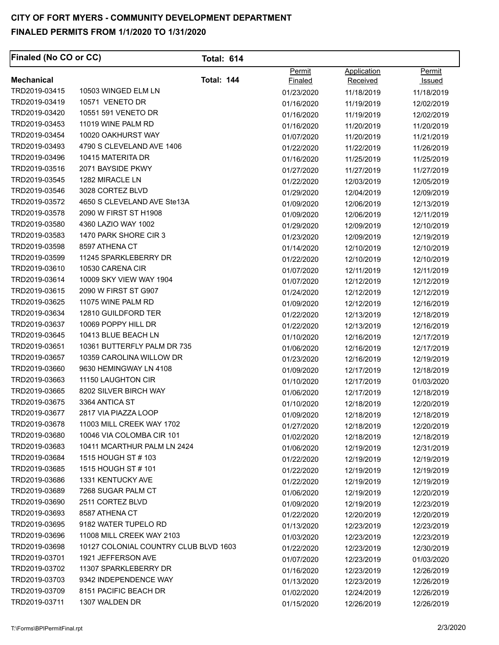| Permit<br>Application<br>Permit<br><b>Total: 144</b><br><b>Mechanical</b><br>Finaled<br>Received<br><u>Issued</u><br>TRD2019-03415<br>10503 WINGED ELM LN<br>01/23/2020<br>11/18/2019<br>11/18/2019<br>10571 VENETO DR<br>TRD2019-03419<br>01/16/2020<br>11/19/2019<br>12/02/2019<br>TRD2019-03420<br>10551 591 VENETO DR<br>01/16/2020<br>11/19/2019<br>12/02/2019<br>11019 WINE PALM RD<br>TRD2019-03453<br>01/16/2020<br>11/20/2019<br>11/20/2019<br>TRD2019-03454<br>10020 OAKHURST WAY<br>01/07/2020<br>11/20/2019<br>11/21/2019<br>TRD2019-03493<br>4790 S CLEVELAND AVE 1406<br>01/22/2020<br>11/22/2019<br>11/26/2019<br>10415 MATERITA DR<br>TRD2019-03496<br>01/16/2020<br>11/25/2019<br>11/25/2019<br>2071 BAYSIDE PKWY<br>TRD2019-03516<br>01/27/2020<br>11/27/2019<br>11/27/2019<br>1282 MIRACLE LN<br>TRD2019-03545<br>01/22/2020<br>12/03/2019<br>12/05/2019<br>TRD2019-03546<br>3028 CORTEZ BLVD<br>01/29/2020<br>12/04/2019<br>12/09/2019<br>4650 S CLEVELAND AVE Ste13A<br>TRD2019-03572<br>01/09/2020<br>12/06/2019<br>12/13/2019<br>TRD2019-03578<br>2090 W FIRST ST H1908<br>01/09/2020<br>12/06/2019<br>12/11/2019<br>4360 LAZIO WAY 1002<br>TRD2019-03580<br>01/29/2020<br>12/09/2019<br>12/10/2019<br>1470 PARK SHORE CIR 3<br>TRD2019-03583<br>01/23/2020<br>12/09/2019<br>12/19/2019<br>TRD2019-03598<br>8597 ATHENA CT<br>01/14/2020<br>12/10/2019<br>12/10/2019<br>TRD2019-03599<br>11245 SPARKLEBERRY DR<br>01/22/2020<br>12/10/2019<br>12/10/2019<br>10530 CARENA CIR<br>TRD2019-03610<br>01/07/2020<br>12/11/2019<br>12/11/2019<br>10009 SKY VIEW WAY 1904<br>TRD2019-03614<br>01/07/2020<br>12/12/2019<br>12/12/2019<br>2090 W FIRST ST G907<br>TRD2019-03615<br>01/24/2020<br>12/12/2019<br>12/12/2019<br>TRD2019-03625<br>11075 WINE PALM RD<br>01/09/2020<br>12/12/2019<br>12/16/2019<br>12810 GUILDFORD TER<br>TRD2019-03634<br>01/22/2020<br>12/13/2019<br>12/18/2019<br>10069 POPPY HILL DR<br>TRD2019-03637<br>01/22/2020<br>12/13/2019<br>12/16/2019<br>10413 BLUE BEACH LN<br>TRD2019-03645<br>01/10/2020<br>12/17/2019<br>12/16/2019<br>10361 BUTTERFLY PALM DR 735<br>TRD2019-03651<br>01/06/2020<br>12/16/2019<br>12/17/2019<br>TRD2019-03657<br>10359 CAROLINA WILLOW DR<br>01/23/2020<br>12/16/2019<br>12/19/2019<br>9630 HEMINGWAY LN 4108<br>TRD2019-03660<br>01/09/2020<br>12/17/2019<br>12/18/2019<br>11150 LAUGHTON CIR<br>TRD2019-03663<br>01/10/2020<br>12/17/2019<br>01/03/2020<br>8202 SILVER BIRCH WAY<br>TRD2019-03665<br>01/06/2020<br>12/17/2019<br>12/18/2019<br>3364 ANTICA ST<br>TRD2019-03675<br>01/10/2020<br>12/18/2019<br>12/20/2019<br>TRD2019-03677<br>2817 VIA PIAZZA LOOP<br>01/09/2020<br>12/18/2019<br>12/18/2019<br>TRD2019-03678<br>11003 MILL CREEK WAY 1702<br>01/27/2020<br>12/18/2019<br>12/20/2019<br>TRD2019-03680<br>10046 VIA COLOMBA CIR 101<br>01/02/2020<br>12/18/2019<br>12/18/2019<br>TRD2019-03683<br>10411 MCARTHUR PALM LN 2424<br>01/06/2020<br>12/19/2019<br>12/31/2019<br>TRD2019-03684<br>1515 HOUGH ST # 103<br>01/22/2020<br>12/19/2019<br>12/19/2019<br>TRD2019-03685<br>1515 HOUGH ST # 101<br>01/22/2020<br>12/19/2019<br>12/19/2019<br>TRD2019-03686<br>1331 KENTUCKY AVE<br>01/22/2020<br>12/19/2019<br>12/19/2019<br>7268 SUGAR PALM CT<br>TRD2019-03689<br>01/06/2020<br>12/19/2019<br>12/20/2019<br>TRD2019-03690<br>2511 CORTEZ BLVD<br>01/09/2020<br>12/19/2019<br>12/23/2019<br>8587 ATHENA CT<br>TRD2019-03693<br>01/22/2020<br>12/20/2019<br>12/20/2019<br>TRD2019-03695<br>9182 WATER TUPELO RD<br>01/13/2020<br>12/23/2019<br>12/23/2019<br>TRD2019-03696<br>11008 MILL CREEK WAY 2103<br>01/03/2020<br>12/23/2019<br>12/23/2019<br>TRD2019-03698<br>10127 COLONIAL COUNTRY CLUB BLVD 1603<br>01/22/2020<br>12/23/2019<br>12/30/2019<br>TRD2019-03701<br>1921 JEFFERSON AVE<br>01/07/2020<br>12/23/2019<br>01/03/2020<br>TRD2019-03702<br>11307 SPARKLEBERRY DR<br>01/16/2020<br>12/23/2019<br>12/26/2019<br>TRD2019-03703<br>9342 INDEPENDENCE WAY<br>01/13/2020<br>12/23/2019<br>12/26/2019<br>TRD2019-03709<br>8151 PACIFIC BEACH DR<br>01/02/2020<br>12/24/2019<br>12/26/2019<br>TRD2019-03711<br>1307 WALDEN DR<br>01/15/2020<br>12/26/2019<br>12/26/2019 | Finaled (No CO or CC) | <b>Total: 614</b> |  |  |
|-------------------------------------------------------------------------------------------------------------------------------------------------------------------------------------------------------------------------------------------------------------------------------------------------------------------------------------------------------------------------------------------------------------------------------------------------------------------------------------------------------------------------------------------------------------------------------------------------------------------------------------------------------------------------------------------------------------------------------------------------------------------------------------------------------------------------------------------------------------------------------------------------------------------------------------------------------------------------------------------------------------------------------------------------------------------------------------------------------------------------------------------------------------------------------------------------------------------------------------------------------------------------------------------------------------------------------------------------------------------------------------------------------------------------------------------------------------------------------------------------------------------------------------------------------------------------------------------------------------------------------------------------------------------------------------------------------------------------------------------------------------------------------------------------------------------------------------------------------------------------------------------------------------------------------------------------------------------------------------------------------------------------------------------------------------------------------------------------------------------------------------------------------------------------------------------------------------------------------------------------------------------------------------------------------------------------------------------------------------------------------------------------------------------------------------------------------------------------------------------------------------------------------------------------------------------------------------------------------------------------------------------------------------------------------------------------------------------------------------------------------------------------------------------------------------------------------------------------------------------------------------------------------------------------------------------------------------------------------------------------------------------------------------------------------------------------------------------------------------------------------------------------------------------------------------------------------------------------------------------------------------------------------------------------------------------------------------------------------------------------------------------------------------------------------------------------------------------------------------------------------------------------------------------------------------------------------------------------------------------------------------------------------------------------------------------------------------------------------------------------------------------------------------------------------------------------------------------------------------------------------------------------------------------------------------------------------------------------------------------------------------------------------------------------------------------------------------------------------------------------------------------------------------------------------|-----------------------|-------------------|--|--|
|                                                                                                                                                                                                                                                                                                                                                                                                                                                                                                                                                                                                                                                                                                                                                                                                                                                                                                                                                                                                                                                                                                                                                                                                                                                                                                                                                                                                                                                                                                                                                                                                                                                                                                                                                                                                                                                                                                                                                                                                                                                                                                                                                                                                                                                                                                                                                                                                                                                                                                                                                                                                                                                                                                                                                                                                                                                                                                                                                                                                                                                                                                                                                                                                                                                                                                                                                                                                                                                                                                                                                                                                                                                                                                                                                                                                                                                                                                                                                                                                                                                                                                                                                                               |                       |                   |  |  |
|                                                                                                                                                                                                                                                                                                                                                                                                                                                                                                                                                                                                                                                                                                                                                                                                                                                                                                                                                                                                                                                                                                                                                                                                                                                                                                                                                                                                                                                                                                                                                                                                                                                                                                                                                                                                                                                                                                                                                                                                                                                                                                                                                                                                                                                                                                                                                                                                                                                                                                                                                                                                                                                                                                                                                                                                                                                                                                                                                                                                                                                                                                                                                                                                                                                                                                                                                                                                                                                                                                                                                                                                                                                                                                                                                                                                                                                                                                                                                                                                                                                                                                                                                                               |                       |                   |  |  |
|                                                                                                                                                                                                                                                                                                                                                                                                                                                                                                                                                                                                                                                                                                                                                                                                                                                                                                                                                                                                                                                                                                                                                                                                                                                                                                                                                                                                                                                                                                                                                                                                                                                                                                                                                                                                                                                                                                                                                                                                                                                                                                                                                                                                                                                                                                                                                                                                                                                                                                                                                                                                                                                                                                                                                                                                                                                                                                                                                                                                                                                                                                                                                                                                                                                                                                                                                                                                                                                                                                                                                                                                                                                                                                                                                                                                                                                                                                                                                                                                                                                                                                                                                                               |                       |                   |  |  |
|                                                                                                                                                                                                                                                                                                                                                                                                                                                                                                                                                                                                                                                                                                                                                                                                                                                                                                                                                                                                                                                                                                                                                                                                                                                                                                                                                                                                                                                                                                                                                                                                                                                                                                                                                                                                                                                                                                                                                                                                                                                                                                                                                                                                                                                                                                                                                                                                                                                                                                                                                                                                                                                                                                                                                                                                                                                                                                                                                                                                                                                                                                                                                                                                                                                                                                                                                                                                                                                                                                                                                                                                                                                                                                                                                                                                                                                                                                                                                                                                                                                                                                                                                                               |                       |                   |  |  |
|                                                                                                                                                                                                                                                                                                                                                                                                                                                                                                                                                                                                                                                                                                                                                                                                                                                                                                                                                                                                                                                                                                                                                                                                                                                                                                                                                                                                                                                                                                                                                                                                                                                                                                                                                                                                                                                                                                                                                                                                                                                                                                                                                                                                                                                                                                                                                                                                                                                                                                                                                                                                                                                                                                                                                                                                                                                                                                                                                                                                                                                                                                                                                                                                                                                                                                                                                                                                                                                                                                                                                                                                                                                                                                                                                                                                                                                                                                                                                                                                                                                                                                                                                                               |                       |                   |  |  |
|                                                                                                                                                                                                                                                                                                                                                                                                                                                                                                                                                                                                                                                                                                                                                                                                                                                                                                                                                                                                                                                                                                                                                                                                                                                                                                                                                                                                                                                                                                                                                                                                                                                                                                                                                                                                                                                                                                                                                                                                                                                                                                                                                                                                                                                                                                                                                                                                                                                                                                                                                                                                                                                                                                                                                                                                                                                                                                                                                                                                                                                                                                                                                                                                                                                                                                                                                                                                                                                                                                                                                                                                                                                                                                                                                                                                                                                                                                                                                                                                                                                                                                                                                                               |                       |                   |  |  |
|                                                                                                                                                                                                                                                                                                                                                                                                                                                                                                                                                                                                                                                                                                                                                                                                                                                                                                                                                                                                                                                                                                                                                                                                                                                                                                                                                                                                                                                                                                                                                                                                                                                                                                                                                                                                                                                                                                                                                                                                                                                                                                                                                                                                                                                                                                                                                                                                                                                                                                                                                                                                                                                                                                                                                                                                                                                                                                                                                                                                                                                                                                                                                                                                                                                                                                                                                                                                                                                                                                                                                                                                                                                                                                                                                                                                                                                                                                                                                                                                                                                                                                                                                                               |                       |                   |  |  |
|                                                                                                                                                                                                                                                                                                                                                                                                                                                                                                                                                                                                                                                                                                                                                                                                                                                                                                                                                                                                                                                                                                                                                                                                                                                                                                                                                                                                                                                                                                                                                                                                                                                                                                                                                                                                                                                                                                                                                                                                                                                                                                                                                                                                                                                                                                                                                                                                                                                                                                                                                                                                                                                                                                                                                                                                                                                                                                                                                                                                                                                                                                                                                                                                                                                                                                                                                                                                                                                                                                                                                                                                                                                                                                                                                                                                                                                                                                                                                                                                                                                                                                                                                                               |                       |                   |  |  |
|                                                                                                                                                                                                                                                                                                                                                                                                                                                                                                                                                                                                                                                                                                                                                                                                                                                                                                                                                                                                                                                                                                                                                                                                                                                                                                                                                                                                                                                                                                                                                                                                                                                                                                                                                                                                                                                                                                                                                                                                                                                                                                                                                                                                                                                                                                                                                                                                                                                                                                                                                                                                                                                                                                                                                                                                                                                                                                                                                                                                                                                                                                                                                                                                                                                                                                                                                                                                                                                                                                                                                                                                                                                                                                                                                                                                                                                                                                                                                                                                                                                                                                                                                                               |                       |                   |  |  |
|                                                                                                                                                                                                                                                                                                                                                                                                                                                                                                                                                                                                                                                                                                                                                                                                                                                                                                                                                                                                                                                                                                                                                                                                                                                                                                                                                                                                                                                                                                                                                                                                                                                                                                                                                                                                                                                                                                                                                                                                                                                                                                                                                                                                                                                                                                                                                                                                                                                                                                                                                                                                                                                                                                                                                                                                                                                                                                                                                                                                                                                                                                                                                                                                                                                                                                                                                                                                                                                                                                                                                                                                                                                                                                                                                                                                                                                                                                                                                                                                                                                                                                                                                                               |                       |                   |  |  |
|                                                                                                                                                                                                                                                                                                                                                                                                                                                                                                                                                                                                                                                                                                                                                                                                                                                                                                                                                                                                                                                                                                                                                                                                                                                                                                                                                                                                                                                                                                                                                                                                                                                                                                                                                                                                                                                                                                                                                                                                                                                                                                                                                                                                                                                                                                                                                                                                                                                                                                                                                                                                                                                                                                                                                                                                                                                                                                                                                                                                                                                                                                                                                                                                                                                                                                                                                                                                                                                                                                                                                                                                                                                                                                                                                                                                                                                                                                                                                                                                                                                                                                                                                                               |                       |                   |  |  |
|                                                                                                                                                                                                                                                                                                                                                                                                                                                                                                                                                                                                                                                                                                                                                                                                                                                                                                                                                                                                                                                                                                                                                                                                                                                                                                                                                                                                                                                                                                                                                                                                                                                                                                                                                                                                                                                                                                                                                                                                                                                                                                                                                                                                                                                                                                                                                                                                                                                                                                                                                                                                                                                                                                                                                                                                                                                                                                                                                                                                                                                                                                                                                                                                                                                                                                                                                                                                                                                                                                                                                                                                                                                                                                                                                                                                                                                                                                                                                                                                                                                                                                                                                                               |                       |                   |  |  |
|                                                                                                                                                                                                                                                                                                                                                                                                                                                                                                                                                                                                                                                                                                                                                                                                                                                                                                                                                                                                                                                                                                                                                                                                                                                                                                                                                                                                                                                                                                                                                                                                                                                                                                                                                                                                                                                                                                                                                                                                                                                                                                                                                                                                                                                                                                                                                                                                                                                                                                                                                                                                                                                                                                                                                                                                                                                                                                                                                                                                                                                                                                                                                                                                                                                                                                                                                                                                                                                                                                                                                                                                                                                                                                                                                                                                                                                                                                                                                                                                                                                                                                                                                                               |                       |                   |  |  |
|                                                                                                                                                                                                                                                                                                                                                                                                                                                                                                                                                                                                                                                                                                                                                                                                                                                                                                                                                                                                                                                                                                                                                                                                                                                                                                                                                                                                                                                                                                                                                                                                                                                                                                                                                                                                                                                                                                                                                                                                                                                                                                                                                                                                                                                                                                                                                                                                                                                                                                                                                                                                                                                                                                                                                                                                                                                                                                                                                                                                                                                                                                                                                                                                                                                                                                                                                                                                                                                                                                                                                                                                                                                                                                                                                                                                                                                                                                                                                                                                                                                                                                                                                                               |                       |                   |  |  |
|                                                                                                                                                                                                                                                                                                                                                                                                                                                                                                                                                                                                                                                                                                                                                                                                                                                                                                                                                                                                                                                                                                                                                                                                                                                                                                                                                                                                                                                                                                                                                                                                                                                                                                                                                                                                                                                                                                                                                                                                                                                                                                                                                                                                                                                                                                                                                                                                                                                                                                                                                                                                                                                                                                                                                                                                                                                                                                                                                                                                                                                                                                                                                                                                                                                                                                                                                                                                                                                                                                                                                                                                                                                                                                                                                                                                                                                                                                                                                                                                                                                                                                                                                                               |                       |                   |  |  |
|                                                                                                                                                                                                                                                                                                                                                                                                                                                                                                                                                                                                                                                                                                                                                                                                                                                                                                                                                                                                                                                                                                                                                                                                                                                                                                                                                                                                                                                                                                                                                                                                                                                                                                                                                                                                                                                                                                                                                                                                                                                                                                                                                                                                                                                                                                                                                                                                                                                                                                                                                                                                                                                                                                                                                                                                                                                                                                                                                                                                                                                                                                                                                                                                                                                                                                                                                                                                                                                                                                                                                                                                                                                                                                                                                                                                                                                                                                                                                                                                                                                                                                                                                                               |                       |                   |  |  |
|                                                                                                                                                                                                                                                                                                                                                                                                                                                                                                                                                                                                                                                                                                                                                                                                                                                                                                                                                                                                                                                                                                                                                                                                                                                                                                                                                                                                                                                                                                                                                                                                                                                                                                                                                                                                                                                                                                                                                                                                                                                                                                                                                                                                                                                                                                                                                                                                                                                                                                                                                                                                                                                                                                                                                                                                                                                                                                                                                                                                                                                                                                                                                                                                                                                                                                                                                                                                                                                                                                                                                                                                                                                                                                                                                                                                                                                                                                                                                                                                                                                                                                                                                                               |                       |                   |  |  |
|                                                                                                                                                                                                                                                                                                                                                                                                                                                                                                                                                                                                                                                                                                                                                                                                                                                                                                                                                                                                                                                                                                                                                                                                                                                                                                                                                                                                                                                                                                                                                                                                                                                                                                                                                                                                                                                                                                                                                                                                                                                                                                                                                                                                                                                                                                                                                                                                                                                                                                                                                                                                                                                                                                                                                                                                                                                                                                                                                                                                                                                                                                                                                                                                                                                                                                                                                                                                                                                                                                                                                                                                                                                                                                                                                                                                                                                                                                                                                                                                                                                                                                                                                                               |                       |                   |  |  |
|                                                                                                                                                                                                                                                                                                                                                                                                                                                                                                                                                                                                                                                                                                                                                                                                                                                                                                                                                                                                                                                                                                                                                                                                                                                                                                                                                                                                                                                                                                                                                                                                                                                                                                                                                                                                                                                                                                                                                                                                                                                                                                                                                                                                                                                                                                                                                                                                                                                                                                                                                                                                                                                                                                                                                                                                                                                                                                                                                                                                                                                                                                                                                                                                                                                                                                                                                                                                                                                                                                                                                                                                                                                                                                                                                                                                                                                                                                                                                                                                                                                                                                                                                                               |                       |                   |  |  |
|                                                                                                                                                                                                                                                                                                                                                                                                                                                                                                                                                                                                                                                                                                                                                                                                                                                                                                                                                                                                                                                                                                                                                                                                                                                                                                                                                                                                                                                                                                                                                                                                                                                                                                                                                                                                                                                                                                                                                                                                                                                                                                                                                                                                                                                                                                                                                                                                                                                                                                                                                                                                                                                                                                                                                                                                                                                                                                                                                                                                                                                                                                                                                                                                                                                                                                                                                                                                                                                                                                                                                                                                                                                                                                                                                                                                                                                                                                                                                                                                                                                                                                                                                                               |                       |                   |  |  |
|                                                                                                                                                                                                                                                                                                                                                                                                                                                                                                                                                                                                                                                                                                                                                                                                                                                                                                                                                                                                                                                                                                                                                                                                                                                                                                                                                                                                                                                                                                                                                                                                                                                                                                                                                                                                                                                                                                                                                                                                                                                                                                                                                                                                                                                                                                                                                                                                                                                                                                                                                                                                                                                                                                                                                                                                                                                                                                                                                                                                                                                                                                                                                                                                                                                                                                                                                                                                                                                                                                                                                                                                                                                                                                                                                                                                                                                                                                                                                                                                                                                                                                                                                                               |                       |                   |  |  |
|                                                                                                                                                                                                                                                                                                                                                                                                                                                                                                                                                                                                                                                                                                                                                                                                                                                                                                                                                                                                                                                                                                                                                                                                                                                                                                                                                                                                                                                                                                                                                                                                                                                                                                                                                                                                                                                                                                                                                                                                                                                                                                                                                                                                                                                                                                                                                                                                                                                                                                                                                                                                                                                                                                                                                                                                                                                                                                                                                                                                                                                                                                                                                                                                                                                                                                                                                                                                                                                                                                                                                                                                                                                                                                                                                                                                                                                                                                                                                                                                                                                                                                                                                                               |                       |                   |  |  |
|                                                                                                                                                                                                                                                                                                                                                                                                                                                                                                                                                                                                                                                                                                                                                                                                                                                                                                                                                                                                                                                                                                                                                                                                                                                                                                                                                                                                                                                                                                                                                                                                                                                                                                                                                                                                                                                                                                                                                                                                                                                                                                                                                                                                                                                                                                                                                                                                                                                                                                                                                                                                                                                                                                                                                                                                                                                                                                                                                                                                                                                                                                                                                                                                                                                                                                                                                                                                                                                                                                                                                                                                                                                                                                                                                                                                                                                                                                                                                                                                                                                                                                                                                                               |                       |                   |  |  |
|                                                                                                                                                                                                                                                                                                                                                                                                                                                                                                                                                                                                                                                                                                                                                                                                                                                                                                                                                                                                                                                                                                                                                                                                                                                                                                                                                                                                                                                                                                                                                                                                                                                                                                                                                                                                                                                                                                                                                                                                                                                                                                                                                                                                                                                                                                                                                                                                                                                                                                                                                                                                                                                                                                                                                                                                                                                                                                                                                                                                                                                                                                                                                                                                                                                                                                                                                                                                                                                                                                                                                                                                                                                                                                                                                                                                                                                                                                                                                                                                                                                                                                                                                                               |                       |                   |  |  |
|                                                                                                                                                                                                                                                                                                                                                                                                                                                                                                                                                                                                                                                                                                                                                                                                                                                                                                                                                                                                                                                                                                                                                                                                                                                                                                                                                                                                                                                                                                                                                                                                                                                                                                                                                                                                                                                                                                                                                                                                                                                                                                                                                                                                                                                                                                                                                                                                                                                                                                                                                                                                                                                                                                                                                                                                                                                                                                                                                                                                                                                                                                                                                                                                                                                                                                                                                                                                                                                                                                                                                                                                                                                                                                                                                                                                                                                                                                                                                                                                                                                                                                                                                                               |                       |                   |  |  |
|                                                                                                                                                                                                                                                                                                                                                                                                                                                                                                                                                                                                                                                                                                                                                                                                                                                                                                                                                                                                                                                                                                                                                                                                                                                                                                                                                                                                                                                                                                                                                                                                                                                                                                                                                                                                                                                                                                                                                                                                                                                                                                                                                                                                                                                                                                                                                                                                                                                                                                                                                                                                                                                                                                                                                                                                                                                                                                                                                                                                                                                                                                                                                                                                                                                                                                                                                                                                                                                                                                                                                                                                                                                                                                                                                                                                                                                                                                                                                                                                                                                                                                                                                                               |                       |                   |  |  |
|                                                                                                                                                                                                                                                                                                                                                                                                                                                                                                                                                                                                                                                                                                                                                                                                                                                                                                                                                                                                                                                                                                                                                                                                                                                                                                                                                                                                                                                                                                                                                                                                                                                                                                                                                                                                                                                                                                                                                                                                                                                                                                                                                                                                                                                                                                                                                                                                                                                                                                                                                                                                                                                                                                                                                                                                                                                                                                                                                                                                                                                                                                                                                                                                                                                                                                                                                                                                                                                                                                                                                                                                                                                                                                                                                                                                                                                                                                                                                                                                                                                                                                                                                                               |                       |                   |  |  |
|                                                                                                                                                                                                                                                                                                                                                                                                                                                                                                                                                                                                                                                                                                                                                                                                                                                                                                                                                                                                                                                                                                                                                                                                                                                                                                                                                                                                                                                                                                                                                                                                                                                                                                                                                                                                                                                                                                                                                                                                                                                                                                                                                                                                                                                                                                                                                                                                                                                                                                                                                                                                                                                                                                                                                                                                                                                                                                                                                                                                                                                                                                                                                                                                                                                                                                                                                                                                                                                                                                                                                                                                                                                                                                                                                                                                                                                                                                                                                                                                                                                                                                                                                                               |                       |                   |  |  |
|                                                                                                                                                                                                                                                                                                                                                                                                                                                                                                                                                                                                                                                                                                                                                                                                                                                                                                                                                                                                                                                                                                                                                                                                                                                                                                                                                                                                                                                                                                                                                                                                                                                                                                                                                                                                                                                                                                                                                                                                                                                                                                                                                                                                                                                                                                                                                                                                                                                                                                                                                                                                                                                                                                                                                                                                                                                                                                                                                                                                                                                                                                                                                                                                                                                                                                                                                                                                                                                                                                                                                                                                                                                                                                                                                                                                                                                                                                                                                                                                                                                                                                                                                                               |                       |                   |  |  |
|                                                                                                                                                                                                                                                                                                                                                                                                                                                                                                                                                                                                                                                                                                                                                                                                                                                                                                                                                                                                                                                                                                                                                                                                                                                                                                                                                                                                                                                                                                                                                                                                                                                                                                                                                                                                                                                                                                                                                                                                                                                                                                                                                                                                                                                                                                                                                                                                                                                                                                                                                                                                                                                                                                                                                                                                                                                                                                                                                                                                                                                                                                                                                                                                                                                                                                                                                                                                                                                                                                                                                                                                                                                                                                                                                                                                                                                                                                                                                                                                                                                                                                                                                                               |                       |                   |  |  |
|                                                                                                                                                                                                                                                                                                                                                                                                                                                                                                                                                                                                                                                                                                                                                                                                                                                                                                                                                                                                                                                                                                                                                                                                                                                                                                                                                                                                                                                                                                                                                                                                                                                                                                                                                                                                                                                                                                                                                                                                                                                                                                                                                                                                                                                                                                                                                                                                                                                                                                                                                                                                                                                                                                                                                                                                                                                                                                                                                                                                                                                                                                                                                                                                                                                                                                                                                                                                                                                                                                                                                                                                                                                                                                                                                                                                                                                                                                                                                                                                                                                                                                                                                                               |                       |                   |  |  |
|                                                                                                                                                                                                                                                                                                                                                                                                                                                                                                                                                                                                                                                                                                                                                                                                                                                                                                                                                                                                                                                                                                                                                                                                                                                                                                                                                                                                                                                                                                                                                                                                                                                                                                                                                                                                                                                                                                                                                                                                                                                                                                                                                                                                                                                                                                                                                                                                                                                                                                                                                                                                                                                                                                                                                                                                                                                                                                                                                                                                                                                                                                                                                                                                                                                                                                                                                                                                                                                                                                                                                                                                                                                                                                                                                                                                                                                                                                                                                                                                                                                                                                                                                                               |                       |                   |  |  |
|                                                                                                                                                                                                                                                                                                                                                                                                                                                                                                                                                                                                                                                                                                                                                                                                                                                                                                                                                                                                                                                                                                                                                                                                                                                                                                                                                                                                                                                                                                                                                                                                                                                                                                                                                                                                                                                                                                                                                                                                                                                                                                                                                                                                                                                                                                                                                                                                                                                                                                                                                                                                                                                                                                                                                                                                                                                                                                                                                                                                                                                                                                                                                                                                                                                                                                                                                                                                                                                                                                                                                                                                                                                                                                                                                                                                                                                                                                                                                                                                                                                                                                                                                                               |                       |                   |  |  |
|                                                                                                                                                                                                                                                                                                                                                                                                                                                                                                                                                                                                                                                                                                                                                                                                                                                                                                                                                                                                                                                                                                                                                                                                                                                                                                                                                                                                                                                                                                                                                                                                                                                                                                                                                                                                                                                                                                                                                                                                                                                                                                                                                                                                                                                                                                                                                                                                                                                                                                                                                                                                                                                                                                                                                                                                                                                                                                                                                                                                                                                                                                                                                                                                                                                                                                                                                                                                                                                                                                                                                                                                                                                                                                                                                                                                                                                                                                                                                                                                                                                                                                                                                                               |                       |                   |  |  |
|                                                                                                                                                                                                                                                                                                                                                                                                                                                                                                                                                                                                                                                                                                                                                                                                                                                                                                                                                                                                                                                                                                                                                                                                                                                                                                                                                                                                                                                                                                                                                                                                                                                                                                                                                                                                                                                                                                                                                                                                                                                                                                                                                                                                                                                                                                                                                                                                                                                                                                                                                                                                                                                                                                                                                                                                                                                                                                                                                                                                                                                                                                                                                                                                                                                                                                                                                                                                                                                                                                                                                                                                                                                                                                                                                                                                                                                                                                                                                                                                                                                                                                                                                                               |                       |                   |  |  |
|                                                                                                                                                                                                                                                                                                                                                                                                                                                                                                                                                                                                                                                                                                                                                                                                                                                                                                                                                                                                                                                                                                                                                                                                                                                                                                                                                                                                                                                                                                                                                                                                                                                                                                                                                                                                                                                                                                                                                                                                                                                                                                                                                                                                                                                                                                                                                                                                                                                                                                                                                                                                                                                                                                                                                                                                                                                                                                                                                                                                                                                                                                                                                                                                                                                                                                                                                                                                                                                                                                                                                                                                                                                                                                                                                                                                                                                                                                                                                                                                                                                                                                                                                                               |                       |                   |  |  |
|                                                                                                                                                                                                                                                                                                                                                                                                                                                                                                                                                                                                                                                                                                                                                                                                                                                                                                                                                                                                                                                                                                                                                                                                                                                                                                                                                                                                                                                                                                                                                                                                                                                                                                                                                                                                                                                                                                                                                                                                                                                                                                                                                                                                                                                                                                                                                                                                                                                                                                                                                                                                                                                                                                                                                                                                                                                                                                                                                                                                                                                                                                                                                                                                                                                                                                                                                                                                                                                                                                                                                                                                                                                                                                                                                                                                                                                                                                                                                                                                                                                                                                                                                                               |                       |                   |  |  |
|                                                                                                                                                                                                                                                                                                                                                                                                                                                                                                                                                                                                                                                                                                                                                                                                                                                                                                                                                                                                                                                                                                                                                                                                                                                                                                                                                                                                                                                                                                                                                                                                                                                                                                                                                                                                                                                                                                                                                                                                                                                                                                                                                                                                                                                                                                                                                                                                                                                                                                                                                                                                                                                                                                                                                                                                                                                                                                                                                                                                                                                                                                                                                                                                                                                                                                                                                                                                                                                                                                                                                                                                                                                                                                                                                                                                                                                                                                                                                                                                                                                                                                                                                                               |                       |                   |  |  |
|                                                                                                                                                                                                                                                                                                                                                                                                                                                                                                                                                                                                                                                                                                                                                                                                                                                                                                                                                                                                                                                                                                                                                                                                                                                                                                                                                                                                                                                                                                                                                                                                                                                                                                                                                                                                                                                                                                                                                                                                                                                                                                                                                                                                                                                                                                                                                                                                                                                                                                                                                                                                                                                                                                                                                                                                                                                                                                                                                                                                                                                                                                                                                                                                                                                                                                                                                                                                                                                                                                                                                                                                                                                                                                                                                                                                                                                                                                                                                                                                                                                                                                                                                                               |                       |                   |  |  |
|                                                                                                                                                                                                                                                                                                                                                                                                                                                                                                                                                                                                                                                                                                                                                                                                                                                                                                                                                                                                                                                                                                                                                                                                                                                                                                                                                                                                                                                                                                                                                                                                                                                                                                                                                                                                                                                                                                                                                                                                                                                                                                                                                                                                                                                                                                                                                                                                                                                                                                                                                                                                                                                                                                                                                                                                                                                                                                                                                                                                                                                                                                                                                                                                                                                                                                                                                                                                                                                                                                                                                                                                                                                                                                                                                                                                                                                                                                                                                                                                                                                                                                                                                                               |                       |                   |  |  |
|                                                                                                                                                                                                                                                                                                                                                                                                                                                                                                                                                                                                                                                                                                                                                                                                                                                                                                                                                                                                                                                                                                                                                                                                                                                                                                                                                                                                                                                                                                                                                                                                                                                                                                                                                                                                                                                                                                                                                                                                                                                                                                                                                                                                                                                                                                                                                                                                                                                                                                                                                                                                                                                                                                                                                                                                                                                                                                                                                                                                                                                                                                                                                                                                                                                                                                                                                                                                                                                                                                                                                                                                                                                                                                                                                                                                                                                                                                                                                                                                                                                                                                                                                                               |                       |                   |  |  |
|                                                                                                                                                                                                                                                                                                                                                                                                                                                                                                                                                                                                                                                                                                                                                                                                                                                                                                                                                                                                                                                                                                                                                                                                                                                                                                                                                                                                                                                                                                                                                                                                                                                                                                                                                                                                                                                                                                                                                                                                                                                                                                                                                                                                                                                                                                                                                                                                                                                                                                                                                                                                                                                                                                                                                                                                                                                                                                                                                                                                                                                                                                                                                                                                                                                                                                                                                                                                                                                                                                                                                                                                                                                                                                                                                                                                                                                                                                                                                                                                                                                                                                                                                                               |                       |                   |  |  |
|                                                                                                                                                                                                                                                                                                                                                                                                                                                                                                                                                                                                                                                                                                                                                                                                                                                                                                                                                                                                                                                                                                                                                                                                                                                                                                                                                                                                                                                                                                                                                                                                                                                                                                                                                                                                                                                                                                                                                                                                                                                                                                                                                                                                                                                                                                                                                                                                                                                                                                                                                                                                                                                                                                                                                                                                                                                                                                                                                                                                                                                                                                                                                                                                                                                                                                                                                                                                                                                                                                                                                                                                                                                                                                                                                                                                                                                                                                                                                                                                                                                                                                                                                                               |                       |                   |  |  |
|                                                                                                                                                                                                                                                                                                                                                                                                                                                                                                                                                                                                                                                                                                                                                                                                                                                                                                                                                                                                                                                                                                                                                                                                                                                                                                                                                                                                                                                                                                                                                                                                                                                                                                                                                                                                                                                                                                                                                                                                                                                                                                                                                                                                                                                                                                                                                                                                                                                                                                                                                                                                                                                                                                                                                                                                                                                                                                                                                                                                                                                                                                                                                                                                                                                                                                                                                                                                                                                                                                                                                                                                                                                                                                                                                                                                                                                                                                                                                                                                                                                                                                                                                                               |                       |                   |  |  |
|                                                                                                                                                                                                                                                                                                                                                                                                                                                                                                                                                                                                                                                                                                                                                                                                                                                                                                                                                                                                                                                                                                                                                                                                                                                                                                                                                                                                                                                                                                                                                                                                                                                                                                                                                                                                                                                                                                                                                                                                                                                                                                                                                                                                                                                                                                                                                                                                                                                                                                                                                                                                                                                                                                                                                                                                                                                                                                                                                                                                                                                                                                                                                                                                                                                                                                                                                                                                                                                                                                                                                                                                                                                                                                                                                                                                                                                                                                                                                                                                                                                                                                                                                                               |                       |                   |  |  |
|                                                                                                                                                                                                                                                                                                                                                                                                                                                                                                                                                                                                                                                                                                                                                                                                                                                                                                                                                                                                                                                                                                                                                                                                                                                                                                                                                                                                                                                                                                                                                                                                                                                                                                                                                                                                                                                                                                                                                                                                                                                                                                                                                                                                                                                                                                                                                                                                                                                                                                                                                                                                                                                                                                                                                                                                                                                                                                                                                                                                                                                                                                                                                                                                                                                                                                                                                                                                                                                                                                                                                                                                                                                                                                                                                                                                                                                                                                                                                                                                                                                                                                                                                                               |                       |                   |  |  |
|                                                                                                                                                                                                                                                                                                                                                                                                                                                                                                                                                                                                                                                                                                                                                                                                                                                                                                                                                                                                                                                                                                                                                                                                                                                                                                                                                                                                                                                                                                                                                                                                                                                                                                                                                                                                                                                                                                                                                                                                                                                                                                                                                                                                                                                                                                                                                                                                                                                                                                                                                                                                                                                                                                                                                                                                                                                                                                                                                                                                                                                                                                                                                                                                                                                                                                                                                                                                                                                                                                                                                                                                                                                                                                                                                                                                                                                                                                                                                                                                                                                                                                                                                                               |                       |                   |  |  |
|                                                                                                                                                                                                                                                                                                                                                                                                                                                                                                                                                                                                                                                                                                                                                                                                                                                                                                                                                                                                                                                                                                                                                                                                                                                                                                                                                                                                                                                                                                                                                                                                                                                                                                                                                                                                                                                                                                                                                                                                                                                                                                                                                                                                                                                                                                                                                                                                                                                                                                                                                                                                                                                                                                                                                                                                                                                                                                                                                                                                                                                                                                                                                                                                                                                                                                                                                                                                                                                                                                                                                                                                                                                                                                                                                                                                                                                                                                                                                                                                                                                                                                                                                                               |                       |                   |  |  |
|                                                                                                                                                                                                                                                                                                                                                                                                                                                                                                                                                                                                                                                                                                                                                                                                                                                                                                                                                                                                                                                                                                                                                                                                                                                                                                                                                                                                                                                                                                                                                                                                                                                                                                                                                                                                                                                                                                                                                                                                                                                                                                                                                                                                                                                                                                                                                                                                                                                                                                                                                                                                                                                                                                                                                                                                                                                                                                                                                                                                                                                                                                                                                                                                                                                                                                                                                                                                                                                                                                                                                                                                                                                                                                                                                                                                                                                                                                                                                                                                                                                                                                                                                                               |                       |                   |  |  |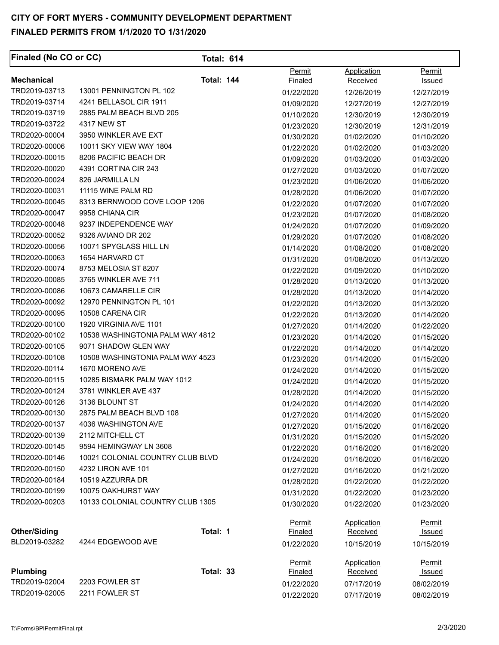| <b>Finaled (No CO or CC)</b>   |                                  | <b>Total: 614</b> |                                 |                         |                                |
|--------------------------------|----------------------------------|-------------------|---------------------------------|-------------------------|--------------------------------|
| <b>Mechanical</b>              |                                  | <b>Total: 144</b> | Permit                          | Application             | Permit                         |
| TRD2019-03713                  | 13001 PENNINGTON PL 102          |                   | <b>Finaled</b>                  | Received                | Issued                         |
| TRD2019-03714                  | 4241 BELLASOL CIR 1911           |                   | 01/22/2020                      | 12/26/2019              | 12/27/2019                     |
| TRD2019-03719                  | 2885 PALM BEACH BLVD 205         |                   | 01/09/2020                      | 12/27/2019              | 12/27/2019                     |
| TRD2019-03722                  | 4317 NEW ST                      |                   | 01/10/2020                      | 12/30/2019              | 12/30/2019                     |
| TRD2020-00004                  | 3950 WINKLER AVE EXT             |                   | 01/23/2020                      | 12/30/2019              | 12/31/2019<br>01/10/2020       |
| TRD2020-00006                  | 10011 SKY VIEW WAY 1804          |                   | 01/30/2020                      | 01/02/2020              |                                |
| TRD2020-00015                  | 8206 PACIFIC BEACH DR            |                   | 01/22/2020                      | 01/02/2020              | 01/03/2020                     |
| TRD2020-00020                  | 4391 CORTINA CIR 243             |                   | 01/09/2020                      | 01/03/2020              | 01/03/2020                     |
| TRD2020-00024                  | 826 JARMILLA LN                  |                   | 01/27/2020                      | 01/03/2020              | 01/07/2020                     |
| TRD2020-00031                  | 11115 WINE PALM RD               |                   | 01/23/2020                      | 01/06/2020              | 01/06/2020                     |
| TRD2020-00045                  | 8313 BERNWOOD COVE LOOP 1206     |                   | 01/28/2020                      | 01/06/2020              | 01/07/2020                     |
| TRD2020-00047                  | 9958 CHIANA CIR                  |                   | 01/22/2020                      | 01/07/2020              | 01/07/2020                     |
| TRD2020-00048                  | 9237 INDEPENDENCE WAY            |                   | 01/23/2020                      | 01/07/2020              | 01/08/2020                     |
| TRD2020-00052                  | 9326 AVIANO DR 202               |                   | 01/24/2020                      | 01/07/2020              | 01/09/2020                     |
| TRD2020-00056                  | 10071 SPYGLASS HILL LN           |                   | 01/29/2020                      | 01/07/2020              | 01/08/2020                     |
|                                | 1654 HARVARD CT                  |                   | 01/14/2020                      | 01/08/2020              | 01/08/2020                     |
| TRD2020-00063<br>TRD2020-00074 | 8753 MELOSIA ST 8207             |                   | 01/31/2020                      | 01/08/2020              | 01/13/2020                     |
|                                | 3765 WINKLER AVE 711             |                   | 01/22/2020                      | 01/09/2020              | 01/10/2020                     |
| TRD2020-00085                  |                                  |                   | 01/28/2020                      | 01/13/2020              | 01/13/2020                     |
| TRD2020-00086                  | 10673 CAMARELLE CIR              |                   | 01/28/2020                      | 01/13/2020              | 01/14/2020                     |
| TRD2020-00092                  | 12970 PENNINGTON PL 101          |                   | 01/22/2020                      | 01/13/2020              | 01/13/2020                     |
| TRD2020-00095                  | 10508 CARENA CIR                 |                   | 01/22/2020                      | 01/13/2020              | 01/14/2020                     |
| TRD2020-00100                  | 1920 VIRGINIA AVE 1101           |                   | 01/27/2020                      | 01/14/2020              | 01/22/2020                     |
| TRD2020-00102                  | 10538 WASHINGTONIA PALM WAY 4812 |                   | 01/23/2020                      | 01/14/2020              | 01/15/2020                     |
| TRD2020-00105                  | 9071 SHADOW GLEN WAY             |                   | 01/22/2020                      | 01/14/2020              | 01/14/2020                     |
| TRD2020-00108                  | 10508 WASHINGTONIA PALM WAY 4523 |                   | 01/23/2020                      | 01/14/2020              | 01/15/2020                     |
| TRD2020-00114                  | 1670 MORENO AVE                  |                   | 01/24/2020                      | 01/14/2020              | 01/15/2020                     |
| TRD2020-00115                  | 10285 BISMARK PALM WAY 1012      |                   | 01/24/2020                      | 01/14/2020              | 01/15/2020                     |
| TRD2020-00124                  | 3781 WINKLER AVE 437             |                   | 01/28/2020                      | 01/14/2020              | 01/15/2020                     |
| TRD2020-00126                  | 3136 BLOUNT ST                   |                   | 01/24/2020                      | 01/14/2020              | 01/14/2020                     |
| TRD2020-00130                  | 2875 PALM BEACH BLVD 108         |                   | 01/27/2020                      | 01/14/2020              | 01/15/2020                     |
| TRD2020-00137                  | 4036 WASHINGTON AVE              |                   | 01/27/2020                      | 01/15/2020              | 01/16/2020                     |
| TRD2020-00139                  | 2112 MITCHELL CT                 |                   | 01/31/2020                      | 01/15/2020              | 01/15/2020                     |
| TRD2020-00145                  | 9594 HEMINGWAY LN 3608           |                   | 01/22/2020                      | 01/16/2020              | 01/16/2020                     |
| TRD2020-00146                  | 10021 COLONIAL COUNTRY CLUB BLVD |                   | 01/24/2020                      | 01/16/2020              | 01/16/2020                     |
| TRD2020-00150                  | 4232 LIRON AVE 101               |                   | 01/27/2020                      | 01/16/2020              | 01/21/2020                     |
| TRD2020-00184                  | 10519 AZZURRA DR                 |                   | 01/28/2020                      | 01/22/2020              | 01/22/2020                     |
| TRD2020-00199                  | 10075 OAKHURST WAY               |                   | 01/31/2020                      | 01/22/2020              | 01/23/2020                     |
| TRD2020-00203                  | 10133 COLONIAL COUNTRY CLUB 1305 |                   | 01/30/2020                      | 01/22/2020              | 01/23/2020                     |
| <b>Other/Siding</b>            |                                  | Total: 1          | <b>Permit</b><br><b>Finaled</b> | Application<br>Received | <u>Permit</u><br><u>Issued</u> |
| BLD2019-03282                  | 4244 EDGEWOOD AVE                |                   | 01/22/2020                      | 10/15/2019              | 10/15/2019                     |
|                                |                                  |                   | Permit                          | Application             | Permit                         |
| Plumbing                       |                                  | Total: 33         | Finaled                         | Received                | <u>Issued</u>                  |
| TRD2019-02004                  | 2203 FOWLER ST                   |                   | 01/22/2020                      | 07/17/2019              | 08/02/2019                     |
| TRD2019-02005                  | 2211 FOWLER ST                   |                   | 01/22/2020                      | 07/17/2019              | 08/02/2019                     |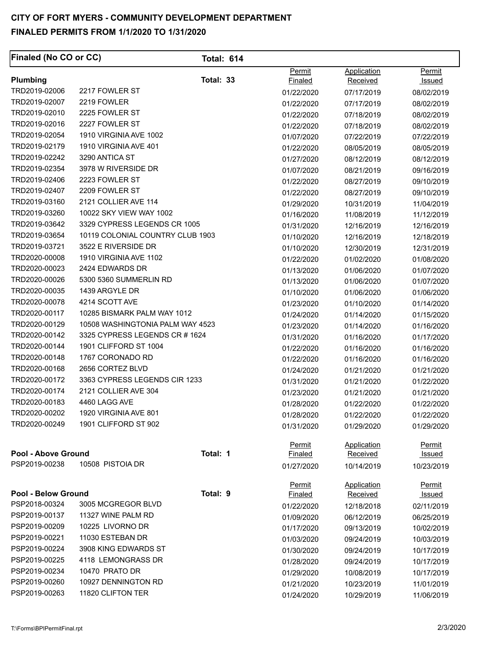| <b>Finaled (No CO or CC)</b> |                                  | <b>Total: 614</b> |                   |                                |                                |
|------------------------------|----------------------------------|-------------------|-------------------|--------------------------------|--------------------------------|
|                              |                                  |                   | Permit            | Application                    | Permit                         |
| Plumbing                     |                                  | Total: 33         | Finaled           | <b>Received</b>                | Issued                         |
| TRD2019-02006                | 2217 FOWLER ST                   |                   | 01/22/2020        | 07/17/2019                     | 08/02/2019                     |
| TRD2019-02007                | 2219 FOWLER                      |                   | 01/22/2020        | 07/17/2019                     | 08/02/2019                     |
| TRD2019-02010                | 2225 FOWLER ST                   |                   | 01/22/2020        | 07/18/2019                     | 08/02/2019                     |
| TRD2019-02016                | 2227 FOWLER ST                   |                   | 01/22/2020        | 07/18/2019                     | 08/02/2019                     |
| TRD2019-02054                | 1910 VIRGINIA AVE 1002           |                   | 01/07/2020        | 07/22/2019                     | 07/22/2019                     |
| TRD2019-02179                | 1910 VIRGINIA AVE 401            |                   | 01/22/2020        | 08/05/2019                     | 08/05/2019                     |
| TRD2019-02242                | 3290 ANTICA ST                   |                   | 01/27/2020        | 08/12/2019                     | 08/12/2019                     |
| TRD2019-02354                | 3978 W RIVERSIDE DR              |                   | 01/07/2020        | 08/21/2019                     | 09/16/2019                     |
| TRD2019-02406                | 2223 FOWLER ST                   |                   | 01/22/2020        | 08/27/2019                     | 09/10/2019                     |
| TRD2019-02407                | 2209 FOWLER ST                   |                   | 01/22/2020        | 08/27/2019                     | 09/10/2019                     |
| TRD2019-03160                | 2121 COLLIER AVE 114             |                   | 01/29/2020        | 10/31/2019                     | 11/04/2019                     |
| TRD2019-03260                | 10022 SKY VIEW WAY 1002          |                   | 01/16/2020        | 11/08/2019                     | 11/12/2019                     |
| TRD2019-03642                | 3329 CYPRESS LEGENDS CR 1005     |                   | 01/31/2020        | 12/16/2019                     | 12/16/2019                     |
| TRD2019-03654                | 10119 COLONIAL COUNTRY CLUB 1903 |                   | 01/10/2020        | 12/16/2019                     | 12/18/2019                     |
| TRD2019-03721                | 3522 E RIVERSIDE DR              |                   | 01/10/2020        | 12/30/2019                     | 12/31/2019                     |
| TRD2020-00008                | 1910 VIRGINIA AVE 1102           |                   | 01/22/2020        | 01/02/2020                     | 01/08/2020                     |
| TRD2020-00023                | 2424 EDWARDS DR                  |                   | 01/13/2020        | 01/06/2020                     | 01/07/2020                     |
| TRD2020-00026                | 5300 5360 SUMMERLIN RD           |                   | 01/13/2020        | 01/06/2020                     | 01/07/2020                     |
| TRD2020-00035                | 1439 ARGYLE DR                   |                   | 01/10/2020        | 01/06/2020                     | 01/06/2020                     |
| TRD2020-00078                | 4214 SCOTT AVE                   |                   | 01/23/2020        | 01/10/2020                     | 01/14/2020                     |
| TRD2020-00117                | 10285 BISMARK PALM WAY 1012      |                   | 01/24/2020        | 01/14/2020                     | 01/15/2020                     |
| TRD2020-00129                | 10508 WASHINGTONIA PALM WAY 4523 |                   | 01/23/2020        | 01/14/2020                     | 01/16/2020                     |
| TRD2020-00142                | 3325 CYPRESS LEGENDS CR #1624    |                   | 01/31/2020        | 01/16/2020                     | 01/17/2020                     |
| TRD2020-00144                | 1901 CLIFFORD ST 1004            |                   | 01/22/2020        | 01/16/2020                     | 01/16/2020                     |
| TRD2020-00148                | 1767 CORONADO RD                 |                   | 01/22/2020        | 01/16/2020                     | 01/16/2020                     |
| TRD2020-00168                | 2656 CORTEZ BLVD                 |                   | 01/24/2020        | 01/21/2020                     | 01/21/2020                     |
| TRD2020-00172                | 3363 CYPRESS LEGENDS CIR 1233    |                   | 01/31/2020        | 01/21/2020                     | 01/22/2020                     |
| TRD2020-00174                | 2121 COLLIER AVE 304             |                   | 01/23/2020        | 01/21/2020                     | 01/21/2020                     |
| TRD2020-00183                | 4460 LAGG AVE                    |                   | 01/28/2020        | 01/22/2020                     | 01/22/2020                     |
| TRD2020-00202                | 1920 VIRGINIA AVE 801            |                   | 01/28/2020        | 01/22/2020                     | 01/22/2020                     |
| TRD2020-00249                | 1901 CLIFFORD ST 902             |                   | 01/31/2020        | 01/29/2020                     | 01/29/2020                     |
|                              |                                  |                   | Permit            | <b>Application</b>             | <b>Permit</b>                  |
| <b>Pool - Above Ground</b>   |                                  | Total: 1          | <b>Finaled</b>    | <b>Received</b>                | <b>Issued</b>                  |
| PSP2019-00238                | 10508 PISTOIA DR                 |                   | 01/27/2020        | 10/14/2019                     | 10/23/2019                     |
| <b>Pool - Below Ground</b>   |                                  | Total: 9          | Permit<br>Finaled | <b>Application</b><br>Received | <b>Permit</b><br><u>Issued</u> |
| PSP2018-00324                | 3005 MCGREGOR BLVD               |                   | 01/22/2020        | 12/18/2018                     | 02/11/2019                     |
| PSP2019-00137                | 11327 WINE PALM RD               |                   | 01/09/2020        | 06/12/2019                     | 06/25/2019                     |
| PSP2019-00209                | 10225 LIVORNO DR                 |                   |                   |                                |                                |
| PSP2019-00221                | 11030 ESTEBAN DR                 |                   | 01/17/2020        | 09/13/2019                     | 10/02/2019                     |
| PSP2019-00224                | 3908 KING EDWARDS ST             |                   | 01/03/2020        | 09/24/2019                     | 10/03/2019                     |
| PSP2019-00225                | 4118 LEMONGRASS DR               |                   | 01/30/2020        | 09/24/2019                     | 10/17/2019                     |
| PSP2019-00234                | 10470 PRATO DR                   |                   | 01/28/2020        | 09/24/2019                     | 10/17/2019                     |
| PSP2019-00260                | 10927 DENNINGTON RD              |                   | 01/29/2020        | 10/08/2019                     | 10/17/2019                     |
| PSP2019-00263                | 11820 CLIFTON TER                |                   | 01/21/2020        | 10/23/2019                     | 11/01/2019                     |
|                              |                                  |                   | 01/24/2020        | 10/29/2019                     | 11/06/2019                     |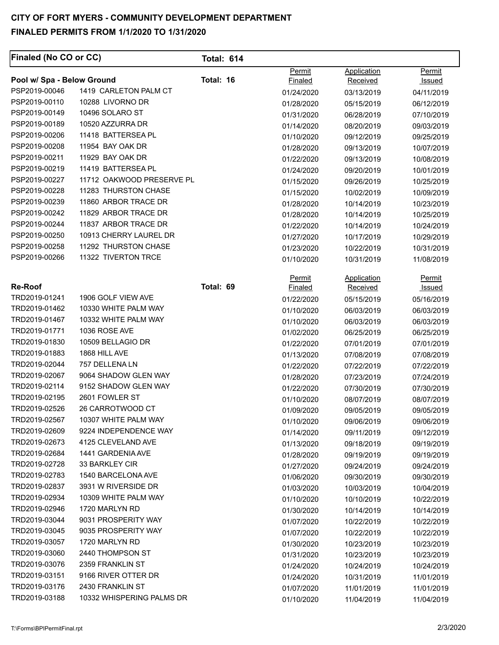#### PSP2019-00239 11860 ARBOR TRACE DR PSP2019-00242 11829 ARBOR TRACE DR PSP2019-00244 11837 ARBOR TRACE DR **Finaled (No CO or CC) Pool w/ Spa - Below Ground**  PSP2019-00046 1419 CARLETON PALM CT PSP2019-00110 10288 LIVORNO DR PSP2019-00149 10496 SOLARO ST PSP2019-00189 10520 AZZURRA DR PSP2019-00206 11418 BATTERSEA PL PSP2019-00208 11954 BAY OAK DR PSP2019-00211 11929 BAY OAK DR PSP2019-00219 11419 BATTERSEA PL PSP2019-00227 11712 OAKWOOD PRESERVE PL PSP2019-00228 11283 THURSTON CHASE PSP2019-00250 10913 CHERRY LAUREL DR PSP2019-00258 11292 THURSTON CHASE PSP2019-00266 11322 TIVERTON TRCE **Total: 614 Total: 16**  Permit Finaled 01/24/2020 01/28/2020 01/31/2020 01/14/2020 01/10/2020 01/28/2020 01/22/2020 01/24/2020 01/15/2020 01/15/2020 01/28/2020 01/28/2020 01/22/2020 01/27/2020 01/23/2020 01/10/2020 Application **Received** 03/13/2019 05/15/2019 06/28/2019 08/20/2019 09/12/2019 09/13/2019 09/13/2019 09/20/2019 09/26/2019 10/02/2019 10/14/2019 10/14/2019 10/14/2019 10/17/2019 10/22/2019 10/31/2019 Permit **Issued** 04/11/2019 06/12/2019 07/10/2019 09/03/2019 09/25/2019 10/07/2019 10/08/2019 10/01/2019 10/25/2019 10/09/2019 10/23/2019 10/25/2019 10/24/2019 10/29/2019 10/31/2019 11/08/2019 **Re-Roof**  TRD2019-01241 TRD2019-01462 TRD2019-01467 TRD2019-01771 TRD2019-01830 TRD2019-01883 TRD2019-02044 TRD2019-02067 TRD2019-02114 TRD2019-02195 TRD2019-02526 TRD2019-02567 TRD2019-02609 TRD2019-02673 TRD2019-02684 TRD2019-02728 TRD2019-02783 TRD2019-02837 TRD2019-02934 TRD2019-02946 TRD2019-03044 TRD2019-03045 TRD2019-03057 TRD2019-03060 TRD2019-03076 TRD2019-03151 TRD2019-03176 TRD2019-03188 1906 GOLF VIEW AVE 10330 WHITE PALM WAY 10332 WHITE PALM WAY 1036 ROSE AVE 10509 BELLAGIO DR 1868 HILL AVE 757 DELLENA LN 9064 SHADOW GLEN WAY 9152 SHADOW GLEN WAY 2601 FOWLER ST 26 CARROTWOOD CT 10307 WHITE PALM WAY 9224 INDEPENDENCE WAY 4125 CLEVELAND AVE 1441 GARDENIA AVE 33 BARKLEY CIR 1540 BARCELONA AVE 3931 W RIVERSIDE DR 10309 WHITE PALM WAY 1720 MARLYN RD 9031 PROSPERITY WAY 9035 PROSPERITY WAY 1720 MARLYN RD 2440 THOMPSON ST 2359 FRANKLIN ST 9166 RIVER OTTER DR 2430 FRANKLIN ST 10332 WHISPERING PALMS DR **Total: 69 Permit** Finaled 01/22/2020 01/10/2020 01/10/2020 01/02/2020 01/22/2020 01/13/2020 01/22/2020 01/28/2020 01/22/2020 01/10/2020 01/09/2020 01/10/2020 01/14/2020 01/13/2020 01/28/2020 01/27/2020 01/06/2020 01/03/2020 01/10/2020 01/30/2020 01/07/2020 01/07/2020 01/30/2020 01/31/2020 01/24/2020 01/24/2020 01/07/2020 01/10/2020 **Application** Received 05/15/2019 06/03/2019 06/03/2019 06/25/2019 07/01/2019 07/08/2019 07/22/2019 07/23/2019 07/30/2019 08/07/2019 09/05/2019 09/06/2019 09/11/2019 09/18/2019 09/19/2019 09/24/2019 09/30/2019 10/03/2019 10/10/2019 10/14/2019 10/22/2019 10/22/2019 10/23/2019 10/23/2019 10/24/2019 10/31/2019 11/01/2019 11/04/2019 Permit Issued 05/16/2019 06/03/2019 06/03/2019 06/25/2019 07/01/2019 07/08/2019 07/22/2019 07/24/2019 07/30/2019 08/07/2019 09/05/2019 09/06/2019 09/12/2019 09/19/2019 09/19/2019 09/24/2019 09/30/2019 10/04/2019 10/22/2019 10/14/2019 10/22/2019 10/22/2019 10/23/2019 10/23/2019 10/24/2019 11/01/2019 11/01/2019 11/04/2019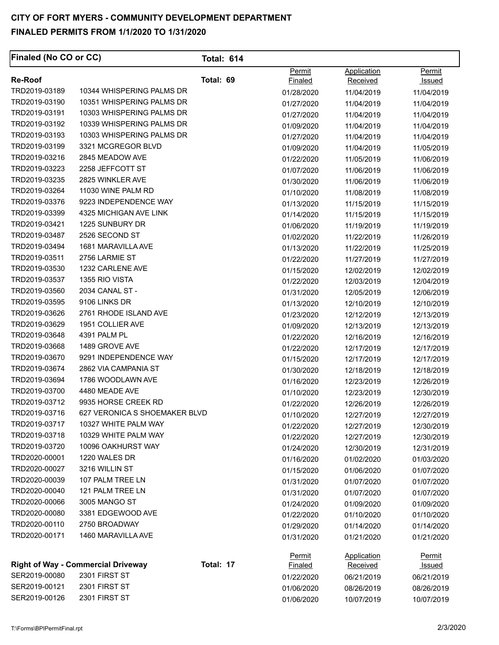| <b>Finaled (No CO or CC)</b> |                                           | <b>Total: 614</b> |                          |                                |                         |
|------------------------------|-------------------------------------------|-------------------|--------------------------|--------------------------------|-------------------------|
| <b>Re-Roof</b>               |                                           | Total: 69         | Permit                   | Application<br>Received        | Permit                  |
| TRD2019-03189                | 10344 WHISPERING PALMS DR                 |                   | <b>Finaled</b>           |                                | Issued                  |
| TRD2019-03190                | 10351 WHISPERING PALMS DR                 |                   | 01/28/2020               | 11/04/2019                     | 11/04/2019              |
| TRD2019-03191                | 10303 WHISPERING PALMS DR                 |                   | 01/27/2020               | 11/04/2019                     | 11/04/2019              |
| TRD2019-03192                | 10339 WHISPERING PALMS DR                 |                   | 01/27/2020               | 11/04/2019                     | 11/04/2019              |
| TRD2019-03193                | 10303 WHISPERING PALMS DR                 |                   | 01/09/2020               | 11/04/2019                     | 11/04/2019              |
| TRD2019-03199                | 3321 MCGREGOR BLVD                        |                   | 01/27/2020               | 11/04/2019                     | 11/04/2019              |
| TRD2019-03216                | 2845 MEADOW AVE                           |                   | 01/09/2020               | 11/04/2019                     | 11/05/2019              |
| TRD2019-03223                | 2258 JEFFCOTT ST                          |                   | 01/22/2020               | 11/05/2019                     | 11/06/2019              |
| TRD2019-03235                | 2825 WINKLER AVE                          |                   | 01/07/2020               | 11/06/2019                     | 11/06/2019              |
| TRD2019-03264                | 11030 WINE PALM RD                        |                   | 01/30/2020               | 11/06/2019                     | 11/06/2019              |
| TRD2019-03376                | 9223 INDEPENDENCE WAY                     |                   | 01/10/2020               | 11/08/2019                     | 11/08/2019              |
| TRD2019-03399                | 4325 MICHIGAN AVE LINK                    |                   | 01/13/2020               | 11/15/2019                     | 11/15/2019              |
| TRD2019-03421                | 1225 SUNBURY DR                           |                   | 01/14/2020               | 11/15/2019                     | 11/15/2019              |
| TRD2019-03487                | 2526 SECOND ST                            |                   | 01/06/2020               | 11/19/2019                     | 11/19/2019              |
| TRD2019-03494                | 1681 MARAVILLA AVE                        |                   | 01/02/2020               | 11/22/2019                     | 11/26/2019              |
| TRD2019-03511                | 2756 LARMIE ST                            |                   | 01/13/2020               | 11/22/2019                     | 11/25/2019              |
| TRD2019-03530                | 1232 CARLENE AVE                          |                   | 01/22/2020               | 11/27/2019                     | 11/27/2019              |
| TRD2019-03537                | 1355 RIO VISTA                            |                   | 01/15/2020               | 12/02/2019                     | 12/02/2019              |
| TRD2019-03560                | 2034 CANAL ST -                           |                   | 01/22/2020               | 12/03/2019                     | 12/04/2019              |
| TRD2019-03595                | 9106 LINKS DR                             |                   | 01/31/2020               | 12/05/2019                     | 12/06/2019              |
| TRD2019-03626                | 2761 RHODE ISLAND AVE                     |                   | 01/13/2020               | 12/10/2019                     | 12/10/2019              |
| TRD2019-03629                | 1951 COLLIER AVE                          |                   | 01/23/2020               | 12/12/2019                     | 12/13/2019              |
| TRD2019-03648                | 4391 PALM PL                              |                   | 01/09/2020               | 12/13/2019                     | 12/13/2019              |
| TRD2019-03668                | 1489 GROVE AVE                            |                   | 01/22/2020               | 12/16/2019                     | 12/16/2019              |
| TRD2019-03670                | 9291 INDEPENDENCE WAY                     |                   | 01/22/2020               | 12/17/2019                     | 12/17/2019              |
| TRD2019-03674                | 2862 VIA CAMPANIA ST                      |                   | 01/15/2020               | 12/17/2019                     | 12/17/2019              |
| TRD2019-03694                | 1786 WOODLAWN AVE                         |                   | 01/30/2020               | 12/18/2019                     | 12/18/2019              |
| TRD2019-03700                | 4480 MEADE AVE                            |                   | 01/16/2020               | 12/23/2019                     | 12/26/2019              |
| TRD2019-03712                | 9935 HORSE CREEK RD                       |                   | 01/10/2020               | 12/23/2019                     | 12/30/2019              |
| TRD2019-03716                | 627 VERONICA S SHOEMAKER BLVD             |                   | 01/22/2020               | 12/26/2019                     | 12/26/2019              |
| TRD2019-03717                | 10327 WHITE PALM WAY                      |                   | 01/10/2020               | 12/27/2019                     | 12/27/2019              |
| TRD2019-03718                | 10329 WHITE PALM WAY                      |                   | 01/22/2020               | 12/27/2019                     | 12/30/2019              |
| TRD2019-03720                | 10096 OAKHURST WAY                        |                   | 01/22/2020               | 12/27/2019                     | 12/30/2019              |
| TRD2020-00001                | 1220 WALES DR                             |                   | 01/24/2020               | 12/30/2019                     | 12/31/2019              |
| TRD2020-00027                | 3216 WILLIN ST                            |                   | 01/16/2020               | 01/02/2020                     | 01/03/2020              |
| TRD2020-00039                | 107 PALM TREE LN                          |                   | 01/15/2020               | 01/06/2020                     | 01/07/2020              |
| TRD2020-00040                | 121 PALM TREE LN                          |                   | 01/31/2020               | 01/07/2020                     | 01/07/2020              |
| TRD2020-00066                | 3005 MANGO ST                             |                   | 01/31/2020               | 01/07/2020                     | 01/07/2020              |
| TRD2020-00080                | 3381 EDGEWOOD AVE                         |                   | 01/24/2020               | 01/09/2020                     | 01/09/2020              |
| TRD2020-00110                | 2750 BROADWAY                             |                   | 01/22/2020               | 01/10/2020                     | 01/10/2020              |
| TRD2020-00171                | 1460 MARAVILLA AVE                        |                   | 01/29/2020               | 01/14/2020                     | 01/14/2020              |
|                              |                                           |                   | 01/31/2020               | 01/21/2020                     | 01/21/2020              |
|                              | <b>Right of Way - Commercial Driveway</b> | Total: 17         | <b>Permit</b><br>Finaled | <b>Application</b><br>Received | <u>Permit</u><br>Issued |
| SER2019-00080                | 2301 FIRST ST                             |                   |                          |                                |                         |
| SER2019-00121                | 2301 FIRST ST                             |                   | 01/22/2020<br>01/06/2020 | 06/21/2019                     | 06/21/2019              |
| SER2019-00126                | 2301 FIRST ST                             |                   |                          | 08/26/2019                     | 08/26/2019              |
|                              |                                           |                   | 01/06/2020               | 10/07/2019                     | 10/07/2019              |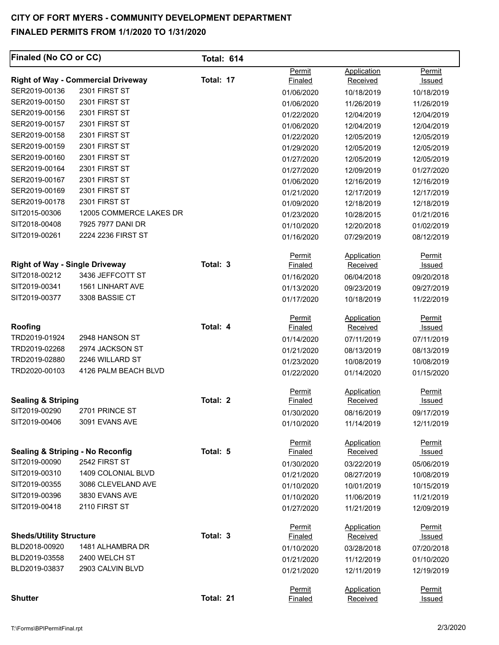| Finaled (No CO or CC)                       |                                           | <b>Total: 614</b> |                          |                                |                                |
|---------------------------------------------|-------------------------------------------|-------------------|--------------------------|--------------------------------|--------------------------------|
|                                             | <b>Right of Way - Commercial Driveway</b> | Total: 17         | Permit<br>Finaled        | Application<br><b>Received</b> | Permit<br>Issued               |
| SER2019-00136                               | 2301 FIRST ST                             |                   | 01/06/2020               | 10/18/2019                     | 10/18/2019                     |
| SER2019-00150                               | 2301 FIRST ST                             |                   | 01/06/2020               | 11/26/2019                     | 11/26/2019                     |
| SER2019-00156                               | 2301 FIRST ST                             |                   | 01/22/2020               | 12/04/2019                     | 12/04/2019                     |
| SER2019-00157                               | 2301 FIRST ST                             |                   | 01/06/2020               | 12/04/2019                     | 12/04/2019                     |
| SER2019-00158                               | 2301 FIRST ST                             |                   | 01/22/2020               | 12/05/2019                     | 12/05/2019                     |
| SER2019-00159                               | 2301 FIRST ST                             |                   | 01/29/2020               | 12/05/2019                     | 12/05/2019                     |
| SER2019-00160                               | 2301 FIRST ST                             |                   | 01/27/2020               | 12/05/2019                     | 12/05/2019                     |
| SER2019-00164                               | 2301 FIRST ST                             |                   | 01/27/2020               | 12/09/2019                     | 01/27/2020                     |
| SER2019-00167                               | 2301 FIRST ST                             |                   | 01/06/2020               | 12/16/2019                     | 12/16/2019                     |
| SER2019-00169                               | 2301 FIRST ST                             |                   | 01/21/2020               | 12/17/2019                     | 12/17/2019                     |
| SER2019-00178                               | 2301 FIRST ST                             |                   | 01/09/2020               | 12/18/2019                     | 12/18/2019                     |
| SIT2015-00306                               | 12005 COMMERCE LAKES DR                   |                   | 01/23/2020               | 10/28/2015                     | 01/21/2016                     |
| SIT2018-00408                               | 7925 7977 DANI DR                         |                   | 01/10/2020               | 12/20/2018                     | 01/02/2019                     |
| SIT2019-00261                               | 2224 2236 FIRST ST                        |                   | 01/16/2020               | 07/29/2019                     | 08/12/2019                     |
|                                             |                                           |                   | Permit                   | Application                    | Permit                         |
| <b>Right of Way - Single Driveway</b>       |                                           | Total: 3          | <b>Finaled</b>           | <b>Received</b>                | Issued                         |
| SIT2018-00212                               | 3436 JEFFCOTT ST                          |                   | 01/16/2020               | 06/04/2018                     | 09/20/2018                     |
| SIT2019-00341                               | 1561 LINHART AVE                          |                   | 01/13/2020               | 09/23/2019                     | 09/27/2019                     |
| SIT2019-00377                               | 3308 BASSIE CT                            |                   | 01/17/2020               | 10/18/2019                     | 11/22/2019                     |
|                                             |                                           |                   | Permit                   | Application                    | Permit                         |
| Roofing                                     |                                           | Total: 4          | Finaled                  | Received                       | <u>Issued</u>                  |
| TRD2019-01924                               | 2948 HANSON ST                            |                   | 01/14/2020               | 07/11/2019                     | 07/11/2019                     |
| TRD2019-02268                               | 2974 JACKSON ST                           |                   | 01/21/2020               | 08/13/2019                     | 08/13/2019                     |
| TRD2019-02880                               | 2246 WILLARD ST                           |                   | 01/23/2020               | 10/08/2019                     | 10/08/2019                     |
| TRD2020-00103                               | 4126 PALM BEACH BLVD                      |                   | 01/22/2020               | 01/14/2020                     | 01/15/2020                     |
| <b>Sealing &amp; Striping</b>               |                                           | Total: 2          | <b>Permit</b>            | Application                    | Permit                         |
| SIT2019-00290                               | 2701 PRINCE ST                            |                   | <b>Finaled</b>           | Received                       | <u>Issued</u>                  |
| SIT2019-00406                               | 3091 EVANS AVE                            |                   | 01/30/2020               | 08/16/2019                     | 09/17/2019                     |
|                                             |                                           |                   | 01/10/2020               | 11/14/2019                     | 12/11/2019                     |
| <b>Sealing &amp; Striping - No Reconfig</b> |                                           | Total: 5          | <b>Permit</b><br>Finaled | Application<br>Received        | <b>Permit</b><br><u>Issued</u> |
| SIT2019-00090                               | 2542 FIRST ST                             |                   | 01/30/2020               | 03/22/2019                     | 05/06/2019                     |
| SIT2019-00310                               | 1409 COLONIAL BLVD                        |                   | 01/21/2020               | 08/27/2019                     | 10/08/2019                     |
| SIT2019-00355                               | 3086 CLEVELAND AVE                        |                   | 01/10/2020               | 10/01/2019                     | 10/15/2019                     |
| SIT2019-00396                               | 3830 EVANS AVE                            |                   | 01/10/2020               | 11/06/2019                     | 11/21/2019                     |
| SIT2019-00418                               | 2110 FIRST ST                             |                   | 01/27/2020               | 11/21/2019                     | 12/09/2019                     |
|                                             |                                           |                   | Permit                   | Application                    | Permit                         |
| <b>Sheds/Utility Structure</b>              |                                           | Total: 3          | Finaled                  | Received                       | <u>Issued</u>                  |
| BLD2018-00920                               | 1481 ALHAMBRA DR                          |                   | 01/10/2020               | 03/28/2018                     | 07/20/2018                     |
| BLD2019-03558                               | 2400 WELCH ST                             |                   | 01/21/2020               | 11/12/2019                     | 01/10/2020                     |
| BLD2019-03837                               | 2903 CALVIN BLVD                          |                   | 01/21/2020               | 12/11/2019                     | 12/19/2019                     |
|                                             |                                           |                   | Permit                   | Application                    | Permit                         |
| <b>Shutter</b>                              |                                           | Total: 21         | <b>Finaled</b>           | Received                       | <u>Issued</u>                  |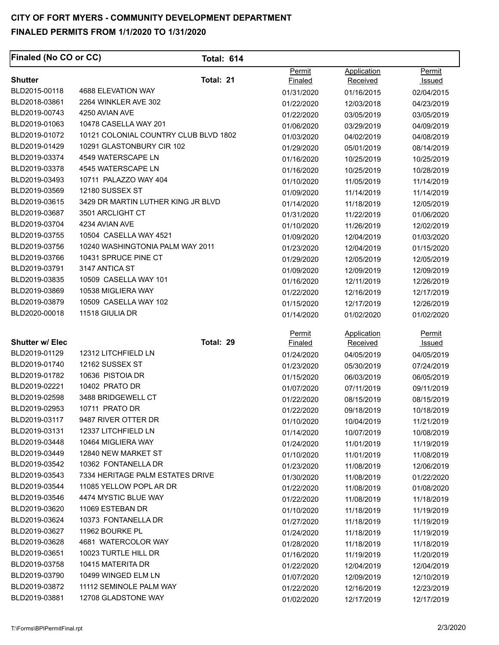| <b>Finaled (No CO or CC)</b> |                                       | <b>Total: 614</b> |                |             |               |
|------------------------------|---------------------------------------|-------------------|----------------|-------------|---------------|
|                              |                                       |                   | Permit         | Application | Permit        |
| <b>Shutter</b>               | Total: 21                             |                   | <b>Finaled</b> | Received    | <u>Issued</u> |
| BLD2015-00118                | 4688 ELEVATION WAY                    |                   | 01/31/2020     | 01/16/2015  | 02/04/2015    |
| BLD2018-03861                | 2264 WINKLER AVE 302                  |                   | 01/22/2020     | 12/03/2018  | 04/23/2019    |
| BLD2019-00743                | 4250 AVIAN AVE                        |                   | 01/22/2020     | 03/05/2019  | 03/05/2019    |
| BLD2019-01063                | 10478 CASELLA WAY 201                 |                   | 01/06/2020     | 03/29/2019  | 04/09/2019    |
| BLD2019-01072                | 10121 COLONIAL COUNTRY CLUB BLVD 1802 |                   | 01/03/2020     | 04/02/2019  | 04/08/2019    |
| BLD2019-01429                | 10291 GLASTONBURY CIR 102             |                   | 01/29/2020     | 05/01/2019  | 08/14/2019    |
| BLD2019-03374                | 4549 WATERSCAPE LN                    |                   | 01/16/2020     | 10/25/2019  | 10/25/2019    |
| BLD2019-03378                | 4545 WATERSCAPE LN                    |                   | 01/16/2020     | 10/25/2019  | 10/28/2019    |
| BLD2019-03493                | 10711 PALAZZO WAY 404                 |                   | 01/10/2020     | 11/05/2019  | 11/14/2019    |
| BLD2019-03569                | 12180 SUSSEX ST                       |                   | 01/09/2020     | 11/14/2019  | 11/14/2019    |
| BLD2019-03615                | 3429 DR MARTIN LUTHER KING JR BLVD    |                   | 01/14/2020     | 11/18/2019  | 12/05/2019    |
| BLD2019-03687                | 3501 ARCLIGHT CT                      |                   | 01/31/2020     | 11/22/2019  | 01/06/2020    |
| BLD2019-03704                | 4234 AVIAN AVE                        |                   | 01/10/2020     | 11/26/2019  | 12/02/2019    |
| BLD2019-03755                | 10504 CASELLA WAY 4521                |                   | 01/09/2020     | 12/04/2019  | 01/03/2020    |
| BLD2019-03756                | 10240 WASHINGTONIA PALM WAY 2011      |                   | 01/23/2020     | 12/04/2019  | 01/15/2020    |
| BLD2019-03766                | 10431 SPRUCE PINE CT                  |                   | 01/29/2020     | 12/05/2019  | 12/05/2019    |
| BLD2019-03791                | 3147 ANTICA ST                        |                   | 01/09/2020     | 12/09/2019  | 12/09/2019    |
| BLD2019-03835                | 10509 CASELLA WAY 101                 |                   | 01/16/2020     | 12/11/2019  | 12/26/2019    |
| BLD2019-03869                | 10538 MIGLIERA WAY                    |                   | 01/22/2020     | 12/16/2019  | 12/17/2019    |
| BLD2019-03879                | 10509 CASELLA WAY 102                 |                   | 01/15/2020     | 12/17/2019  | 12/26/2019    |
| BLD2020-00018                | 11518 GIULIA DR                       |                   | 01/14/2020     | 01/02/2020  | 01/02/2020    |
|                              |                                       |                   | Permit         | Application | <u>Permit</u> |
| <b>Shutter w/ Elec</b>       | Total: 29                             |                   | <b>Finaled</b> | Received    | <u>Issued</u> |
| BLD2019-01129                | 12312 LITCHFIELD LN                   |                   | 01/24/2020     | 04/05/2019  | 04/05/2019    |
| BLD2019-01740                | 12162 SUSSEX ST                       |                   | 01/23/2020     | 05/30/2019  | 07/24/2019    |
| BLD2019-01782                | 10636 PISTOIA DR                      |                   | 01/15/2020     | 06/03/2019  | 06/05/2019    |
| BLD2019-02221                | 10402 PRATO DR                        |                   | 01/07/2020     | 07/11/2019  | 09/11/2019    |
| BLD2019-02598                | 3488 BRIDGEWELL CT                    |                   | 01/22/2020     | 08/15/2019  | 08/15/2019    |
| BLD2019-02953                | 10711 PRATO DR                        |                   | 01/22/2020     | 09/18/2019  | 10/18/2019    |
| BLD2019-03117                | 9487 RIVER OTTER DR                   |                   | 01/10/2020     | 10/04/2019  | 11/21/2019    |
| BLD2019-03131                | 12337 LITCHFIELD LN                   |                   | 01/14/2020     | 10/07/2019  | 10/08/2019    |
| BLD2019-03448                | 10464 MIGLIERA WAY                    |                   | 01/24/2020     | 11/01/2019  | 11/19/2019    |
| BLD2019-03449                | 12840 NEW MARKET ST                   |                   | 01/10/2020     | 11/01/2019  | 11/08/2019    |
| BLD2019-03542                | 10362 FONTANELLA DR                   |                   | 01/23/2020     | 11/08/2019  | 12/06/2019    |
| BLD2019-03543                | 7334 HERITAGE PALM ESTATES DRIVE      |                   | 01/30/2020     | 11/08/2019  | 01/22/2020    |
| BLD2019-03544                | 11085 YELLOW POPL AR DR               |                   | 01/22/2020     | 11/08/2019  | 01/08/2020    |
| BLD2019-03546                | 4474 MYSTIC BLUE WAY                  |                   | 01/22/2020     | 11/08/2019  | 11/18/2019    |
| BLD2019-03620                | 11069 ESTEBAN DR                      |                   | 01/10/2020     | 11/18/2019  | 11/19/2019    |
| BLD2019-03624                | 10373 FONTANELLA DR                   |                   | 01/27/2020     | 11/18/2019  | 11/19/2019    |
| BLD2019-03627                | 11962 BOURKE PL                       |                   | 01/24/2020     | 11/18/2019  | 11/19/2019    |
| BLD2019-03628                | 4681 WATERCOLOR WAY                   |                   | 01/28/2020     | 11/18/2019  | 11/18/2019    |
| BLD2019-03651                | 10023 TURTLE HILL DR                  |                   | 01/16/2020     | 11/19/2019  | 11/20/2019    |
| BLD2019-03758                | 10415 MATERITA DR                     |                   | 01/22/2020     | 12/04/2019  | 12/04/2019    |
| BLD2019-03790                | 10499 WINGED ELM LN                   |                   | 01/07/2020     | 12/09/2019  | 12/10/2019    |
| BLD2019-03872                | 11112 SEMINOLE PALM WAY               |                   | 01/22/2020     | 12/16/2019  | 12/23/2019    |
| BLD2019-03881                | 12708 GLADSTONE WAY                   |                   | 01/02/2020     | 12/17/2019  | 12/17/2019    |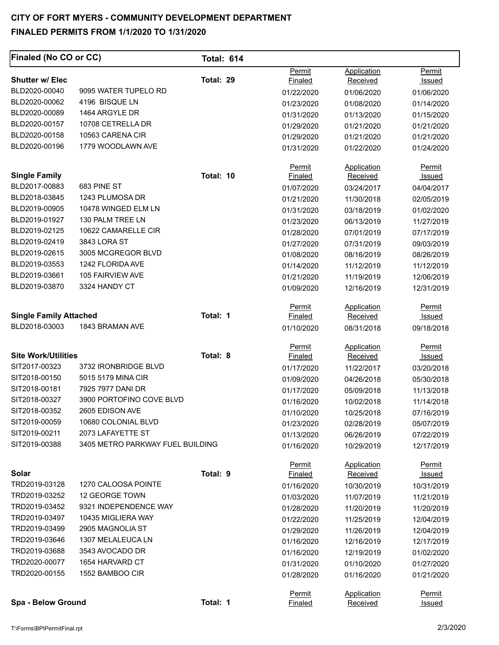| <b>Finaled (No CO or CC)</b>  |                                  | <b>Total: 614</b> |                |                    |               |
|-------------------------------|----------------------------------|-------------------|----------------|--------------------|---------------|
|                               |                                  |                   | Permit         | Application        | Permit        |
| <b>Shutter w/ Elec</b>        |                                  | Total: 29         | <b>Finaled</b> | Received           | Issued        |
| BLD2020-00040                 | 9095 WATER TUPELO RD             |                   | 01/22/2020     | 01/06/2020         | 01/06/2020    |
| BLD2020-00062                 | 4196 BISQUE LN                   |                   | 01/23/2020     | 01/08/2020         | 01/14/2020    |
| BLD2020-00089                 | 1464 ARGYLE DR                   |                   | 01/31/2020     | 01/13/2020         | 01/15/2020    |
| BLD2020-00157                 | 10708 CETRELLA DR                |                   | 01/29/2020     | 01/21/2020         | 01/21/2020    |
| BLD2020-00158                 | 10563 CARENA CIR                 |                   | 01/29/2020     | 01/21/2020         | 01/21/2020    |
| BLD2020-00196                 | 1779 WOODLAWN AVE                |                   | 01/31/2020     | 01/22/2020         | 01/24/2020    |
|                               |                                  |                   | Permit         | <b>Application</b> | Permit        |
| <b>Single Family</b>          |                                  | Total: 10         | Finaled        | Received           | <b>Issued</b> |
| BLD2017-00883                 | 683 PINE ST                      |                   | 01/07/2020     | 03/24/2017         | 04/04/2017    |
| BLD2018-03845                 | 1243 PLUMOSA DR                  |                   | 01/21/2020     | 11/30/2018         | 02/05/2019    |
| BLD2019-00905                 | 10478 WINGED ELM LN              |                   | 01/31/2020     | 03/18/2019         | 01/02/2020    |
| BLD2019-01927                 | 130 PALM TREE LN                 |                   | 01/23/2020     | 06/13/2019         | 11/27/2019    |
| BLD2019-02125                 | 10622 CAMARELLE CIR              |                   | 01/28/2020     | 07/01/2019         | 07/17/2019    |
| BLD2019-02419                 | 3843 LORA ST                     |                   | 01/27/2020     | 07/31/2019         | 09/03/2019    |
| BLD2019-02615                 | 3005 MCGREGOR BLVD               |                   | 01/08/2020     | 08/16/2019         | 08/26/2019    |
| BLD2019-03553                 | 1242 FLORIDA AVE                 |                   | 01/14/2020     | 11/12/2019         | 11/12/2019    |
| BLD2019-03661                 | 105 FAIRVIEW AVE                 |                   | 01/21/2020     | 11/19/2019         | 12/06/2019    |
| BLD2019-03870                 | 3324 HANDY CT                    |                   | 01/09/2020     | 12/16/2019         | 12/31/2019    |
|                               |                                  |                   | <b>Permit</b>  | <b>Application</b> | <b>Permit</b> |
| <b>Single Family Attached</b> |                                  | Total: 1          | <b>Finaled</b> | Received           | Issued        |
| BLD2018-03003                 | 1843 BRAMAN AVE                  |                   | 01/10/2020     | 08/31/2018         | 09/18/2018    |
|                               |                                  |                   | Permit         | <b>Application</b> | Permit        |
| <b>Site Work/Utilities</b>    |                                  | Total: 8          | Finaled        | Received           | <u>Issued</u> |
| SIT2017-00323                 | 3732 IRONBRIDGE BLVD             |                   | 01/17/2020     | 11/22/2017         | 03/20/2018    |
| SIT2018-00150                 | 5015 5179 MINA CIR               |                   | 01/09/2020     | 04/26/2018         | 05/30/2018    |
| SIT2018-00181                 | 7925 7977 DANI DR                |                   | 01/17/2020     | 05/09/2018         | 11/13/2018    |
| SIT2018-00327                 | 3900 PORTOFINO COVE BLVD         |                   | 01/16/2020     | 10/02/2018         | 11/14/2018    |
| SIT2018-00352                 | 2605 EDISON AVE                  |                   | 01/10/2020     | 10/25/2018         | 07/16/2019    |
| SIT2019-00059                 | 10680 COLONIAL BLVD              |                   | 01/23/2020     | 02/28/2019         | 05/07/2019    |
| SIT2019-00211                 | 2073 LAFAYETTE ST                |                   | 01/13/2020     | 06/26/2019         | 07/22/2019    |
| SIT2019-00388                 | 3405 METRO PARKWAY FUEL BUILDING |                   | 01/16/2020     | 10/29/2019         | 12/17/2019    |
|                               |                                  |                   | <b>Permit</b>  | Application        | Permit        |
| Solar<br>TRD2019-03128        |                                  | Total: 9          | Finaled        | Received           | <u>Issued</u> |
|                               | 1270 CALOOSA POINTE              |                   | 01/16/2020     | 10/30/2019         | 10/31/2019    |
| TRD2019-03252                 | 12 GEORGE TOWN                   |                   | 01/03/2020     | 11/07/2019         | 11/21/2019    |
| TRD2019-03452                 | 9321 INDEPENDENCE WAY            |                   | 01/28/2020     | 11/20/2019         | 11/20/2019    |
| TRD2019-03497                 | 10435 MIGLIERA WAY               |                   | 01/22/2020     | 11/25/2019         | 12/04/2019    |
| TRD2019-03499                 | 2905 MAGNOLIA ST                 |                   | 01/29/2020     | 11/26/2019         | 12/04/2019    |
| TRD2019-03646                 | 1307 MELALEUCA LN                |                   | 01/16/2020     | 12/16/2019         | 12/17/2019    |
| TRD2019-03688                 | 3543 AVOCADO DR                  |                   | 01/16/2020     | 12/19/2019         | 01/02/2020    |
| TRD2020-00077                 | 1654 HARVARD CT                  |                   | 01/31/2020     | 01/10/2020         | 01/27/2020    |
| TRD2020-00155                 | 1552 BAMBOO CIR                  |                   | 01/28/2020     | 01/16/2020         | 01/21/2020    |
|                               |                                  |                   | Permit         | <b>Application</b> | <b>Permit</b> |
| Spa - Below Ground            |                                  | Total: 1          | Finaled        | Received           | <u>Issued</u> |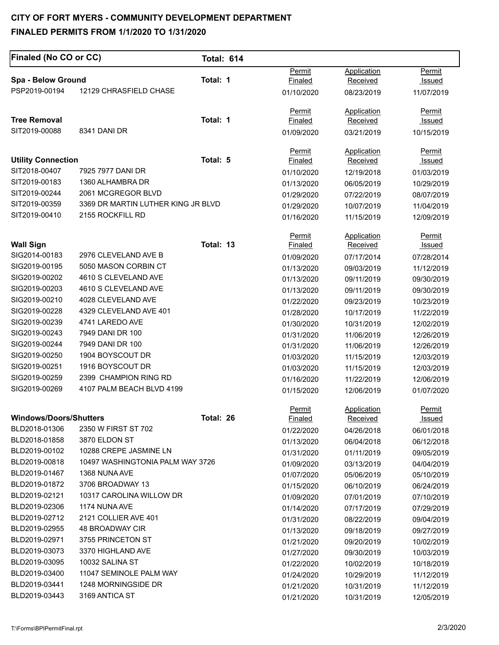# **CITY OF FORT MYERS - COMMUNITY DEVELOPMENT DEPARTMENT**

#### **FINALED PERMITS FROM 1/1/2020 TO 1/31/2020**

| <b>Finaled (No CO or CC)</b>        |                                    | <b>Total: 614</b> |                |                    |               |
|-------------------------------------|------------------------------------|-------------------|----------------|--------------------|---------------|
|                                     |                                    |                   | Permit         | Application        | Permit        |
| Spa - Below Ground<br>PSP2019-00194 | 12129 CHRASFIELD CHASE             | Total: 1          | <u>Finaled</u> | Received           | <u>Issued</u> |
|                                     |                                    |                   | 01/10/2020     | 08/23/2019         | 11/07/2019    |
|                                     |                                    |                   | Permit         | Application        | <b>Permit</b> |
| <b>Tree Removal</b>                 |                                    | Total: 1          | <b>Finaled</b> | Received           | Issued        |
| SIT2019-00088                       | 8341 DANI DR                       |                   | 01/09/2020     | 03/21/2019         | 10/15/2019    |
|                                     |                                    |                   | Permit         | <b>Application</b> | Permit        |
| <b>Utility Connection</b>           |                                    | Total: 5          | Finaled        | Received           | Issued        |
| SIT2018-00407                       | 7925 7977 DANI DR                  |                   | 01/10/2020     | 12/19/2018         | 01/03/2019    |
| SIT2019-00183                       | 1360 ALHAMBRA DR                   |                   | 01/13/2020     | 06/05/2019         | 10/29/2019    |
| SIT2019-00244                       | 2061 MCGREGOR BLVD                 |                   | 01/29/2020     | 07/22/2019         | 08/07/2019    |
| SIT2019-00359                       | 3369 DR MARTIN LUTHER KING JR BLVD |                   | 01/29/2020     | 10/07/2019         | 11/04/2019    |
| SIT2019-00410                       | 2155 ROCKFILL RD                   |                   | 01/16/2020     | 11/15/2019         | 12/09/2019    |
|                                     |                                    |                   | Permit         | Application        | Permit        |
| <b>Wall Sign</b>                    |                                    | Total: 13         | Finaled        | Received           | <u>Issued</u> |
| SIG2014-00183                       | 2976 CLEVELAND AVE B               |                   | 01/09/2020     | 07/17/2014         | 07/28/2014    |
| SIG2019-00195                       | 5050 MASON CORBIN CT               |                   | 01/13/2020     | 09/03/2019         | 11/12/2019    |
| SIG2019-00202                       | 4610 S CLEVELAND AVE               |                   | 01/13/2020     | 09/11/2019         | 09/30/2019    |
| SIG2019-00203                       | 4610 S CLEVELAND AVE               |                   | 01/13/2020     | 09/11/2019         | 09/30/2019    |
| SIG2019-00210                       | 4028 CLEVELAND AVE                 |                   | 01/22/2020     | 09/23/2019         | 10/23/2019    |
| SIG2019-00228                       | 4329 CLEVELAND AVE 401             |                   | 01/28/2020     | 10/17/2019         | 11/22/2019    |
| SIG2019-00239                       | 4741 LAREDO AVE                    |                   | 01/30/2020     | 10/31/2019         | 12/02/2019    |
| SIG2019-00243                       | 7949 DANI DR 100                   |                   | 01/31/2020     | 11/06/2019         | 12/26/2019    |
| SIG2019-00244                       | 7949 DANI DR 100                   |                   | 01/31/2020     | 11/06/2019         | 12/26/2019    |
| SIG2019-00250                       | 1904 BOYSCOUT DR                   |                   | 01/03/2020     | 11/15/2019         | 12/03/2019    |
| SIG2019-00251                       | 1916 BOYSCOUT DR                   |                   | 01/03/2020     | 11/15/2019         | 12/03/2019    |
| SIG2019-00259                       | 2399 CHAMPION RING RD              |                   | 01/16/2020     | 11/22/2019         | 12/06/2019    |
| SIG2019-00269                       | 4107 PALM BEACH BLVD 4199          |                   | 01/15/2020     | 12/06/2019         | 01/07/2020    |
|                                     |                                    |                   | <b>Permit</b>  | Application        | <b>Permit</b> |
| <b>Windows/Doors/Shutters</b>       |                                    | Total: 26         | <b>Finaled</b> | <b>Received</b>    | <u>Issued</u> |
| BLD2018-01306                       | 2350 W FIRST ST 702                |                   | 01/22/2020     | 04/26/2018         | 06/01/2018    |
| BLD2018-01858                       | 3870 ELDON ST                      |                   | 01/13/2020     | 06/04/2018         | 06/12/2018    |
| BLD2019-00102                       | 10288 CREPE JASMINE LN             |                   | 01/31/2020     | 01/11/2019         | 09/05/2019    |
| BLD2019-00818                       | 10497 WASHINGTONIA PALM WAY 3726   |                   | 01/09/2020     | 03/13/2019         | 04/04/2019    |
| BLD2019-01467                       | 1368 NUNA AVE                      |                   | 01/07/2020     | 05/06/2019         | 05/10/2019    |
| BLD2019-01872                       | 3706 BROADWAY 13                   |                   | 01/15/2020     | 06/10/2019         | 06/24/2019    |
| BLD2019-02121                       | 10317 CAROLINA WILLOW DR           |                   | 01/09/2020     | 07/01/2019         | 07/10/2019    |
| BLD2019-02306                       | 1174 NUNA AVE                      |                   | 01/14/2020     | 07/17/2019         | 07/29/2019    |
| BLD2019-02712                       | 2121 COLLIER AVE 401               |                   | 01/31/2020     | 08/22/2019         | 09/04/2019    |
| BLD2019-02955                       | 48 BROADWAY CIR                    |                   | 01/13/2020     | 09/18/2019         | 09/27/2019    |
| BLD2019-02971                       | 3755 PRINCETON ST                  |                   | 01/21/2020     | 09/20/2019         | 10/02/2019    |
| BLD2019-03073                       | 3370 HIGHLAND AVE                  |                   | 01/27/2020     | 09/30/2019         | 10/03/2019    |
| BLD2019-03095                       | 10032 SALINA ST                    |                   | 01/22/2020     | 10/02/2019         | 10/18/2019    |
| BLD2019-03400                       | 11047 SEMINOLE PALM WAY            |                   | 01/24/2020     | 10/29/2019         | 11/12/2019    |
| BLD2019-03441                       | 1248 MORNINGSIDE DR                |                   | 01/21/2020     | 10/31/2019         | 11/12/2019    |
| BLD2019-03443                       | 3169 ANTICA ST                     |                   | 01/21/2020     | 10/31/2019         | 12/05/2019    |
|                                     |                                    |                   |                |                    |               |